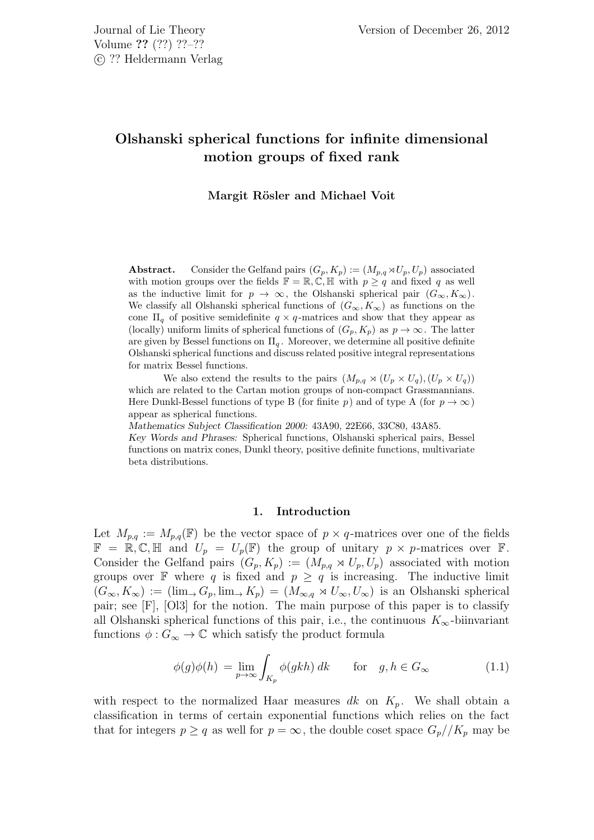# Olshanski spherical functions for infinite dimensional motion groups of fixed rank

# Margit Rösler and Michael Voit

**Abstract.** Consider the Gelfand pairs  $(G_p, K_p) := (M_{p,q} \rtimes U_p, U_p)$  associated with motion groups over the fields  $\mathbb{F} = \mathbb{R}, \mathbb{C}, \mathbb{H}$  with  $p \geq q$  and fixed q as well as the inductive limit for  $p \to \infty$ , the Olshanski spherical pair  $(G_{\infty}, K_{\infty})$ . We classify all Olshanski spherical functions of  $(G_{\infty}, K_{\infty})$  as functions on the cone  $\Pi_q$  of positive semidefinite  $q \times q$ -matrices and show that they appear as (locally) uniform limits of spherical functions of  $(G_p, K_p)$  as  $p \to \infty$ . The latter are given by Bessel functions on  $\Pi_q$ . Moreover, we determine all positive definite Olshanski spherical functions and discuss related positive integral representations for matrix Bessel functions.

We also extend the results to the pairs  $(M_{p,q} \rtimes (U_p \times U_q), (U_p \times U_q))$ which are related to the Cartan motion groups of non-compact Grassmannians. Here Dunkl-Bessel functions of type B (for finite p) and of type A (for  $p \to \infty$ ) appear as spherical functions.

Mathematics Subject Classification 2000: 43A90, 22E66, 33C80, 43A85.

Key Words and Phrases: Spherical functions, Olshanski spherical pairs, Bessel functions on matrix cones, Dunkl theory, positive definite functions, multivariate beta distributions.

#### 1. Introduction

Let  $M_{p,q} := M_{p,q}(\mathbb{F})$  be the vector space of  $p \times q$ -matrices over one of the fields  $\mathbb{F} = \mathbb{R}, \mathbb{C}, \mathbb{H}$  and  $U_p = U_p(\mathbb{F})$  the group of unitary  $p \times p$ -matrices over  $\mathbb{F}$ . Consider the Gelfand pairs  $(G_p, K_p) := (M_{p,q} \rtimes U_p, U_p)$  associated with motion groups over  $\mathbb F$  where q is fixed and  $p \geq q$  is increasing. The inductive limit  $(G_{\infty}, K_{\infty}) := (\lim_{\to} G_p, \lim_{\to} K_p) = (M_{\infty,q} \rtimes U_{\infty}, U_{\infty})$  is an Olshanski spherical pair; see [F], [Ol3] for the notion. The main purpose of this paper is to classify all Olshanski spherical functions of this pair, i.e., the continuous  $K_{\infty}$ -biinvariant functions  $\phi: G_{\infty} \to \mathbb{C}$  which satisfy the product formula

$$
\phi(g)\phi(h) = \lim_{p \to \infty} \int_{K_p} \phi(gkh) \, dk \qquad \text{for} \quad g, h \in G_{\infty} \tag{1.1}
$$

with respect to the normalized Haar measures dk on  $K_p$ . We shall obtain a classification in terms of certain exponential functions which relies on the fact that for integers  $p \ge q$  as well for  $p = \infty$ , the double coset space  $G_p // K_p$  may be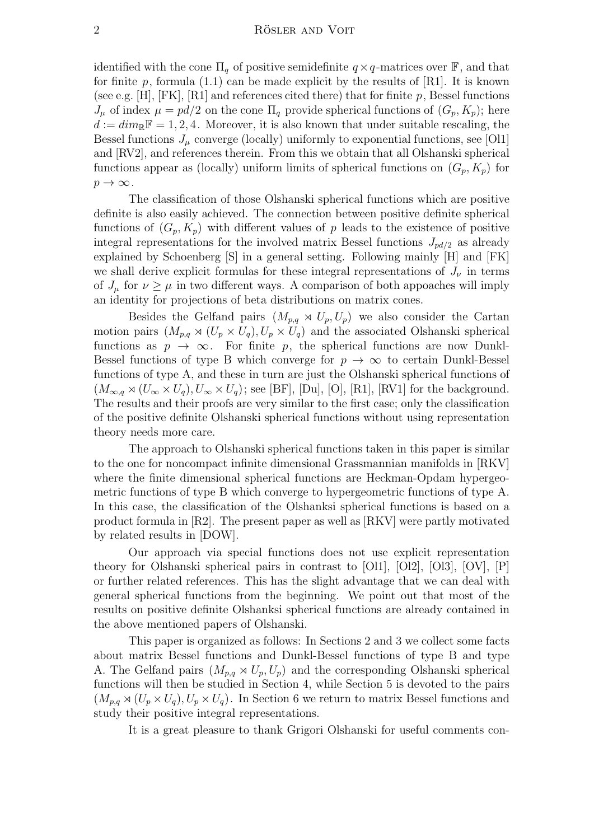identified with the cone  $\Pi_q$  of positive semidefinite  $q \times q$ -matrices over  $\mathbb{F}$ , and that for finite p, formula (1.1) can be made explicit by the results of [R1]. It is known (see e.g.  $[H]$ ,  $[FK]$ ,  $[R1]$  and references cited there) that for finite p, Bessel functions  $J_{\mu}$  of index  $\mu = pd/2$  on the cone  $\Pi_q$  provide spherical functions of  $(G_p, K_p)$ ; here  $d := dim_{\mathbb{R}}\mathbb{F} = 1, 2, 4$ . Moreover, it is also known that under suitable rescaling, the Bessel functions  $J_{\mu}$  converge (locally) uniformly to exponential functions, see [Ol1] and [RV2], and references therein. From this we obtain that all Olshanski spherical functions appear as (locally) uniform limits of spherical functions on  $(G_p, K_p)$  for  $p \to \infty$ .

The classification of those Olshanski spherical functions which are positive definite is also easily achieved. The connection between positive definite spherical functions of  $(G_p, K_p)$  with different values of p leads to the existence of positive integral representations for the involved matrix Bessel functions  $J_{pd/2}$  as already explained by Schoenberg [S] in a general setting. Following mainly [H] and [FK] we shall derive explicit formulas for these integral representations of  $J_{\nu}$  in terms of  $J_\mu$  for  $\nu \geq \mu$  in two different ways. A comparison of both appoaches will imply an identity for projections of beta distributions on matrix cones.

Besides the Gelfand pairs  $(M_{p,q} \rtimes U_p, U_p)$  we also consider the Cartan motion pairs  $(M_{p,q} \rtimes (U_p \times U_q), U_p \times U_q)$  and the associated Olshanski spherical functions as  $p \rightarrow \infty$ . For finite p, the spherical functions are now Dunkl-Bessel functions of type B which converge for  $p \to \infty$  to certain Dunkl-Bessel functions of type A, and these in turn are just the Olshanski spherical functions of  $(M_{\infty,q}\rtimes (U_{\infty}\times U_q),U_{\infty}\times U_q)$ ; see [BF], [Du], [O], [R1], [RV1] for the background. The results and their proofs are very similar to the first case; only the classification of the positive definite Olshanski spherical functions without using representation theory needs more care.

The approach to Olshanski spherical functions taken in this paper is similar to the one for noncompact infinite dimensional Grassmannian manifolds in [RKV] where the finite dimensional spherical functions are Heckman-Opdam hypergeometric functions of type B which converge to hypergeometric functions of type A. In this case, the classification of the Olshanksi spherical functions is based on a product formula in [R2]. The present paper as well as [RKV] were partly motivated by related results in [DOW].

Our approach via special functions does not use explicit representation theory for Olshanski spherical pairs in contrast to [Ol1], [Ol2], [Ol3], [OV], [P] or further related references. This has the slight advantage that we can deal with general spherical functions from the beginning. We point out that most of the results on positive definite Olshanksi spherical functions are already contained in the above mentioned papers of Olshanski.

This paper is organized as follows: In Sections 2 and 3 we collect some facts about matrix Bessel functions and Dunkl-Bessel functions of type B and type A. The Gelfand pairs  $(M_{p,q} \rtimes U_p, U_p)$  and the corresponding Olshanski spherical functions will then be studied in Section 4, while Section 5 is devoted to the pairs  $(M_{p,q} \rtimes (U_p \times U_q), U_p \times U_q)$ . In Section 6 we return to matrix Bessel functions and study their positive integral representations.

It is a great pleasure to thank Grigori Olshanski for useful comments con-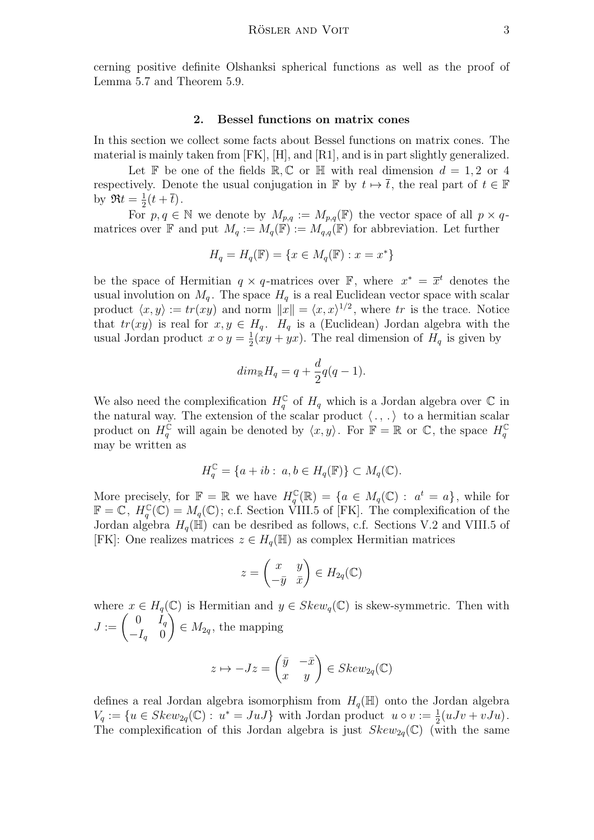cerning positive definite Olshanksi spherical functions as well as the proof of Lemma 5.7 and Theorem 5.9.

## 2. Bessel functions on matrix cones

In this section we collect some facts about Bessel functions on matrix cones. The material is mainly taken from [FK], [H], and [R1], and is in part slightly generalized.

Let F be one of the fields R, C or H with real dimension  $d = 1, 2$  or 4 respectively. Denote the usual conjugation in  $\mathbb{F}$  by  $t \mapsto \overline{t}$ , the real part of  $t \in \mathbb{F}$ by  $\Re t = \frac{1}{2}$  $rac{1}{2}(t+\overline{t}).$ 

For  $p, q \in \mathbb{N}$  we denote by  $M_{p,q} := M_{p,q}(\mathbb{F})$  the vector space of all  $p \times q$ matrices over  $\mathbb F$  and put  $M_q := M_q(\mathbb F) := M_{q,q}(\mathbb F)$  for abbreviation. Let further

$$
H_q = H_q(\mathbb{F}) = \{ x \in M_q(\mathbb{F}) : x = x^* \}
$$

be the space of Hermitian  $q \times q$ -matrices over  $\mathbb{F}$ , where  $x^* = \overline{x}^t$  denotes the usual involution on  $M_q$ . The space  $H_q$  is a real Euclidean vector space with scalar product  $\langle x, y \rangle := tr(xy)$  and norm  $||x|| = \langle x, x \rangle^{1/2}$ , where tr is the trace. Notice that  $tr(xy)$  is real for  $x, y \in H_q$ .  $H_q$  is a (Euclidean) Jordan algebra with the usual Jordan product  $x \circ y = \frac{1}{2}$  $\frac{1}{2}(xy + yx)$ . The real dimension of  $H_q$  is given by

$$
dim_{\mathbb{R}} H_q = q + \frac{d}{2}q(q-1).
$$

We also need the complexification  $H_q^{\mathbb{C}}$  of  $H_q$  which is a Jordan algebra over  $\mathbb{C}$  in the natural way. The extension of the scalar product  $\langle ., . \rangle$  to a hermitian scalar product on  $H_q^{\mathbb{C}}$  will again be denoted by  $\langle x, y \rangle$ . For  $\mathbb{F} = \mathbb{R}$  or  $\mathbb{C}$ , the space  $H_q^{\mathbb{C}}$ may be written as

$$
H_q^{\mathbb{C}} = \{a + ib : a, b \in H_q(\mathbb{F})\} \subset M_q(\mathbb{C}).
$$

More precisely, for  $\mathbb{F} = \mathbb{R}$  we have  $H_q^{\mathbb{C}}(\mathbb{R}) = \{a \in M_q(\mathbb{C}) : a^t = a\}$ , while for  $\mathbb{F} = \mathbb{C}, H_q^{\mathbb{C}}(\mathbb{C}) = M_q(\mathbb{C});$  c.f. Section VIII.5 of [FK]. The complexification of the Jordan algebra  $H_q(\mathbb{H})$  can be desribed as follows, c.f. Sections V.2 and VIII.5 of [FK]: One realizes matrices  $z \in H_q(\mathbb{H})$  as complex Hermitian matrices

$$
z = \begin{pmatrix} x & y \\ -\bar{y} & \bar{x} \end{pmatrix} \in H_{2q}(\mathbb{C})
$$

where  $x \in H_q(\mathbb{C})$  is Hermitian and  $y \in Skew_q(\mathbb{C})$  is skew-symmetric. Then with  $J := \left( \begin{array}{cc} 0 & I_q \\ I & 0 \end{array} \right)$  $-I_q$  0  $\setminus$  $\in M_{2q}$ , the mapping

$$
z \mapsto -Jz = \begin{pmatrix} \bar{y} & -\bar{x} \\ x & y \end{pmatrix} \in Skew_{2q}(\mathbb{C})
$$

defines a real Jordan algebra isomorphism from  $H_q(\mathbb{H})$  onto the Jordan algebra  $V_q := \{u \in Skew_{2q}(\mathbb{C}) : u^* = JuJ\}$  with Jordan product  $u \circ v := \frac{1}{2}(uJv + vJu)$ . The complexification of this Jordan algebra is just  $Skew_{2g}(\mathbb{C})$  (with the same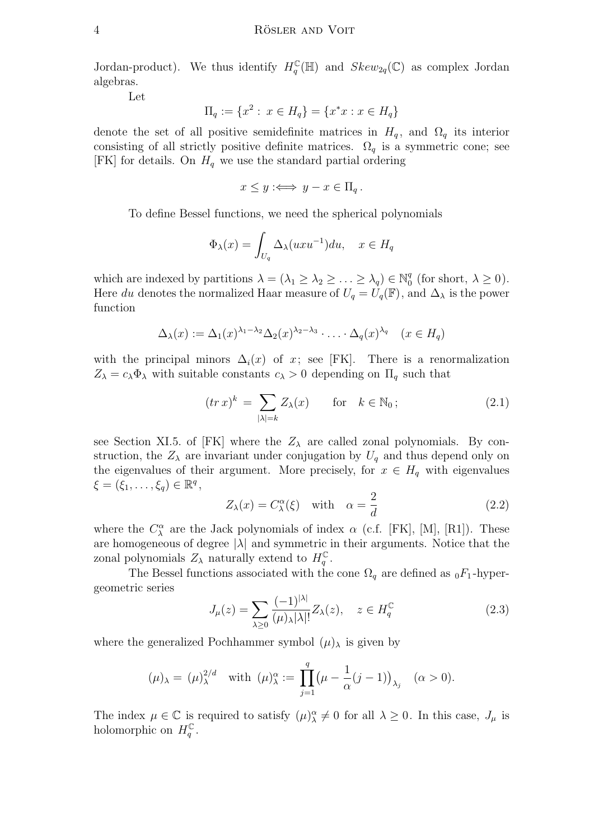Jordan-product). We thus identify  $H_q^{\mathbb{C}}(\mathbb{H})$  and  $Skew_{2q}(\mathbb{C})$  as complex Jordan algebras.

Let

$$
\Pi_q := \{x^2 : x \in H_q\} = \{x^*x : x \in H_q\}
$$

denote the set of all positive semidefinite matrices in  $H_q$ , and  $\Omega_q$  its interior consisting of all strictly positive definite matrices.  $\Omega_q$  is a symmetric cone; see [FK] for details. On  $H_q$  we use the standard partial ordering

$$
x \le y :\iff y - x \in \Pi_q.
$$

To define Bessel functions, we need the spherical polynomials

$$
\Phi_{\lambda}(x) = \int_{U_q} \Delta_{\lambda}(uxu^{-1})du, \quad x \in H_q
$$

which are indexed by partitions  $\lambda = (\lambda_1 \geq \lambda_2 \geq \ldots \geq \lambda_q) \in \mathbb{N}_0^q$  $_0^q$  (for short,  $\lambda \geq 0$ ). Here du denotes the normalized Haar measure of  $U_q = U_q(\mathbb{F})$ , and  $\Delta_\lambda$  is the power function

$$
\Delta_{\lambda}(x) := \Delta_1(x)^{\lambda_1 - \lambda_2} \Delta_2(x)^{\lambda_2 - \lambda_3} \cdot \ldots \cdot \Delta_q(x)^{\lambda_q} \quad (x \in H_q)
$$

with the principal minors  $\Delta_i(x)$  of x; see [FK]. There is a renormalization  $Z_{\lambda} = c_{\lambda} \Phi_{\lambda}$  with suitable constants  $c_{\lambda} > 0$  depending on  $\Pi_q$  such that

$$
(tr\,x)^k \ = \ \sum_{|\lambda|=k} Z_{\lambda}(x) \qquad \text{for} \quad k \in \mathbb{N}_0 \, ; \tag{2.1}
$$

see Section XI.5. of [FK] where the  $Z_{\lambda}$  are called zonal polynomials. By construction, the  $Z_{\lambda}$  are invariant under conjugation by  $U_q$  and thus depend only on the eigenvalues of their argument. More precisely, for  $x \in H_q$  with eigenvalues  $\xi = (\xi_1, \ldots, \xi_q) \in \mathbb{R}^q$ ,

$$
Z_{\lambda}(x) = C_{\lambda}^{\alpha}(\xi) \quad \text{with} \quad \alpha = \frac{2}{d} \tag{2.2}
$$

where the  $C^{\alpha}_{\lambda}$  are the Jack polynomials of index  $\alpha$  (c.f. [FK], [M], [R1]). These are homogeneous of degree  $|\lambda|$  and symmetric in their arguments. Notice that the zonal polynomials  $Z_{\lambda}$  naturally extend to  $H_q^{\mathbb{C}}$ .

The Bessel functions associated with the cone  $\Omega_q$  are defined as  $_0F_1$ -hypergeometric series

$$
J_{\mu}(z) = \sum_{\lambda \ge 0} \frac{(-1)^{|\lambda|}}{(\mu)_{\lambda} |\lambda|!} Z_{\lambda}(z), \quad z \in H_q^{\mathbb{C}}
$$
 (2.3)

where the generalized Pochhammer symbol  $(\mu)_{\lambda}$  is given by

$$
(\mu)_{\lambda} = (\mu)_{\lambda}^{2/d} \quad \text{with } (\mu)_{\lambda}^{\alpha} := \prod_{j=1}^{q} (\mu - \frac{1}{\alpha} (j-1))_{\lambda_j} \quad (\alpha > 0).
$$

The index  $\mu \in \mathbb{C}$  is required to satisfy  $(\mu)_{\lambda}^{\alpha} \neq 0$  for all  $\lambda \geq 0$ . In this case,  $J_{\mu}$  is holomorphic on  $H_q^{\mathbb{C}}$ .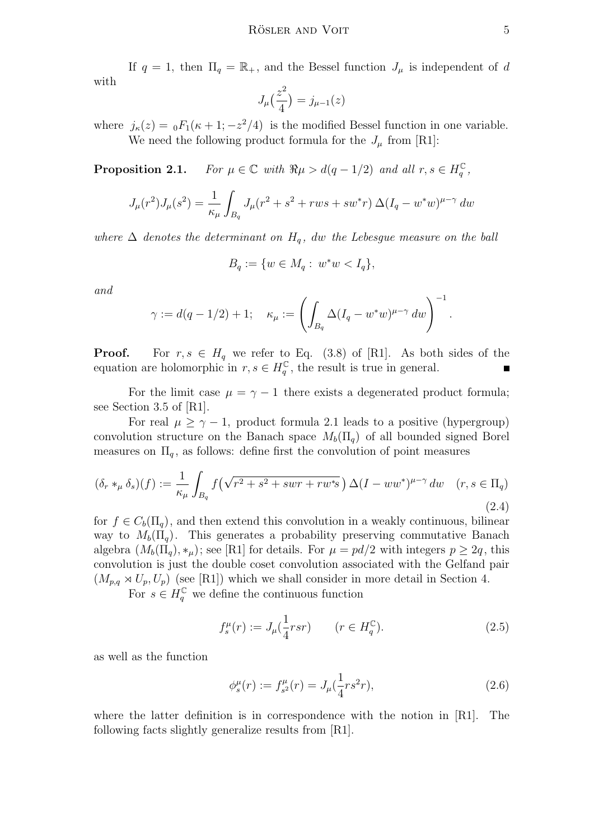If  $q = 1$ , then  $\Pi_q = \mathbb{R}_+$ , and the Bessel function  $J_\mu$  is independent of d with 2

$$
J_{\mu}\left(\frac{z^2}{4}\right) = j_{\mu-1}(z)
$$

where  $j_{\kappa}(z) = {}_0F_1(\kappa + 1; -z^2/4)$  is the modified Bessel function in one variable. We need the following product formula for the  $J_{\mu}$  from [R1]:

**Proposition 2.1.** For  $\mu \in \mathbb{C}$  with  $\Re \mu > d(q-1/2)$  and all  $r, s \in H_q^{\mathbb{C}}$ ,

$$
J_{\mu}(r^{2})J_{\mu}(s^{2}) = \frac{1}{\kappa_{\mu}} \int_{B_{q}} J_{\mu}(r^{2} + s^{2} + rws + sw^{*}r) \Delta (I_{q} - w^{*}w)^{\mu - \gamma} dw
$$

where  $\Delta$  denotes the determinant on  $H_a$ , dw the Lebesgue measure on the ball

$$
B_q := \{ w \in M_q : w^*w < I_q \},\
$$

and

$$
\gamma := d(q-1/2) + 1; \quad \kappa_{\mu} := \left( \int_{B_q} \Delta (I_q - w^*w)^{\mu - \gamma} \, dw \right)^{-1}
$$

**Proof.** For  $r, s \in H_q$  we refer to Eq. (3.8) of [R1]. As both sides of the equation are holomorphic in  $r, s \in H_q^{\mathbb{C}}$ , the result is true in general.

For the limit case  $\mu = \gamma - 1$  there exists a degenerated product formula; see Section 3.5 of [R1].

For real  $\mu \geq \gamma - 1$ , product formula 2.1 leads to a positive (hypergroup) convolution structure on the Banach space  $M_b(\Pi_q)$  of all bounded signed Borel measures on  $\Pi_q$ , as follows: define first the convolution of point measures

$$
(\delta_r *_\mu \delta_s)(f) := \frac{1}{\kappa_\mu} \int_{B_q} f\left(\sqrt{r^2 + s^2 + swr + rw^*s}\right) \Delta(I - ww^*)^{\mu - \gamma} dw \quad (r, s \in \Pi_q)
$$
\n
$$
(2.4)
$$

for  $f \in C_b(\Pi_a)$ , and then extend this convolution in a weakly continuous, bilinear way to  $M_b(\Pi_q)$ . This generates a probability preserving commutative Banach algebra  $(M_b(\Pi_a), *_\mu)$ ; see [R1] for details. For  $\mu = pd/2$  with integers  $p \geq 2q$ , this convolution is just the double coset convolution associated with the Gelfand pair  $(M_{p,q} \rtimes U_p, U_p)$  (see [R1]) which we shall consider in more detail in Section 4.

For  $s \in H_q^{\mathbb{C}}$  we define the continuous function

$$
f_s^{\mu}(r) := J_{\mu}(\frac{1}{4}rsr) \qquad (r \in H_q^{\mathbb{C}}). \tag{2.5}
$$

as well as the function

$$
\phi_s^{\mu}(r) := f_{s^2}^{\mu}(r) = J_{\mu}(\frac{1}{4}rs^2r), \qquad (2.6)
$$

where the latter definition is in correspondence with the notion in [R1]. The following facts slightly generalize results from [R1].

.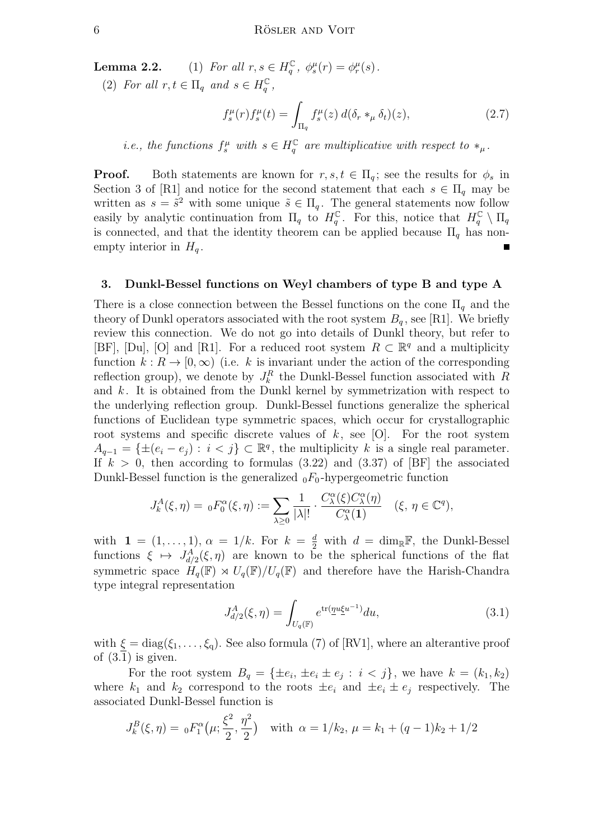**Lemma 2.2.** (1) For all  $r, s \in H_q^{\mathbb{C}}$ ,  $\phi_s^{\mu}(r) = \phi_r^{\mu}(s)$ .

(2) For all  $r, t \in \Pi_q$  and  $s \in H_q^{\mathbb{C}}$ ,

$$
f_s^{\mu}(r) f_s^{\mu}(t) = \int_{\Pi_q} f_s^{\mu}(z) d(\delta_r *_{\mu} \delta_t)(z), \qquad (2.7)
$$

*i.e.*, the functions  $f_s^{\mu}$  with  $s \in H_q^{\mathbb{C}}$  are multiplicative with respect to  $*_\mu$ .

**Proof.** Both statements are known for  $r, s, t \in \Pi_q$ ; see the results for  $\phi_s$  in Section 3 of [R1] and notice for the second statement that each  $s \in \Pi_q$  may be written as  $s = \tilde{s}^2$  with some unique  $\tilde{s} \in \Pi_q$ . The general statements now follow easily by analytic continuation from  $\Pi_q$  to  $H_q^{\mathbb{C}}$ . For this, notice that  $H_q^{\mathbb{C}} \setminus \Pi_q$ is connected, and that the identity theorem can be applied because  $\Pi_q$  has nonempty interior in  $H_q$ .  $\blacksquare$ 

#### 3. Dunkl-Bessel functions on Weyl chambers of type B and type A

There is a close connection between the Bessel functions on the cone  $\Pi_q$  and the theory of Dunkl operators associated with the root system  $B_q$ , see [R1]. We briefly review this connection. We do not go into details of Dunkl theory, but refer to [BF], [Du], [O] and [R1]. For a reduced root system  $R \subset \mathbb{R}^q$  and a multiplicity function  $k : R \to [0, \infty)$  (i.e. k is invariant under the action of the corresponding reflection group), we denote by  $J_k^R$  the Dunkl-Bessel function associated with R and  $k$ . It is obtained from the Dunkl kernel by symmetrization with respect to the underlying reflection group. Dunkl-Bessel functions generalize the spherical functions of Euclidean type symmetric spaces, which occur for crystallographic root systems and specific discrete values of  $k$ , see [O]. For the root system  $A_{q-1} = \{\pm (e_i - e_j) : i < j\} \subset \mathbb{R}^q$ , the multiplicity k is a single real parameter. If  $k > 0$ , then according to formulas (3.22) and (3.37) of [BF] the associated Dunkl-Bessel function is the generalized  $_0F_0$ -hypergeometric function

$$
J_k^A(\xi, \eta) = {}_0F_0^{\alpha}(\xi, \eta) := \sum_{\lambda \ge 0} \frac{1}{|\lambda|!} \cdot \frac{C_{\lambda}^{\alpha}(\xi) C_{\lambda}^{\alpha}(\eta)}{C_{\lambda}^{\alpha}(1)} \quad (\xi, \eta \in \mathbb{C}^q),
$$

with  $\mathbf{1} = (1, \ldots, 1), \alpha = 1/k.$  For  $k = \frac{d}{2}$  with  $d = \dim_{\mathbb{R}} \mathbb{F}$ , the Dunkl-Bessel functions  $\xi \mapsto J_{d/2}^A(\xi, \eta)$  are known to be the spherical functions of the flat symmetric space  $H_q(\mathbb{F}) \rtimes U_q(\mathbb{F})/U_q(\mathbb{F})$  and therefore have the Harish-Chandra type integral representation

$$
J_{d/2}^{A}(\xi, \eta) = \int_{U_q(\mathbb{F})} e^{\text{tr}(\underline{\eta}u \xi^{u^{-1}})} du,
$$
\n(3.1)

with  $\xi = diag(\xi_1, \ldots, \xi_q)$ . See also formula (7) of [RV1], where an alterantive proof of  $(3.1)$  is given.

For the root system  $B_q = {\pm e_i, \pm e_i \pm e_j : i < j}$ , we have  $k = (k_1, k_2)$ where  $k_1$  and  $k_2$  correspond to the roots  $\pm e_i$  and  $\pm e_i \pm e_j$  respectively. The associated Dunkl-Bessel function is

$$
J_k^B(\xi, \eta) = {}_0F_1^{\alpha}\left(\mu; \frac{\xi^2}{2}, \frac{\eta^2}{2}\right) \quad \text{with } \alpha = 1/k_2, \, \mu = k_1 + (q-1)k_2 + 1/2
$$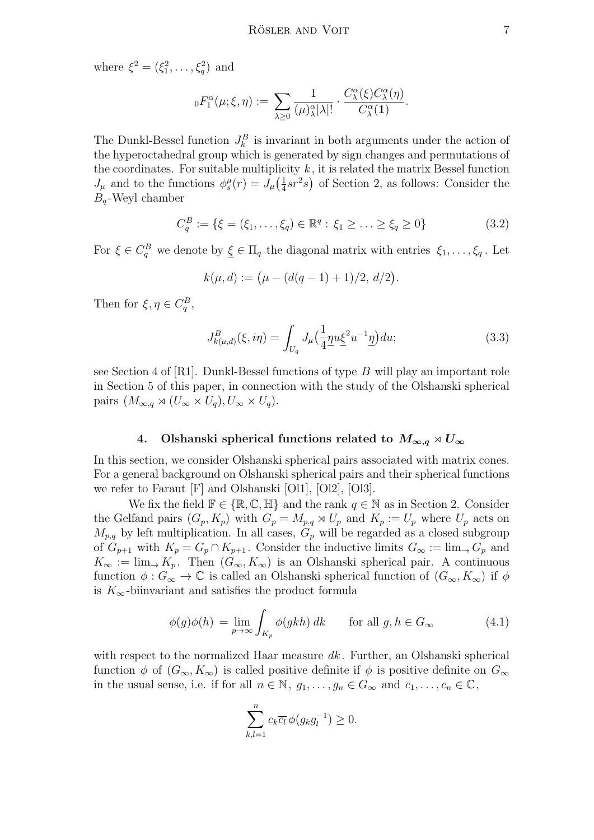where  $\xi^2 = (\xi_1^2, \ldots, \xi_q^2)$  and

$$
{}_{0}F_{1}^{\alpha}(\mu;\xi,\eta) := \sum_{\lambda \geq 0} \frac{1}{(\mu)_{\lambda}^{\alpha} |\lambda|!} \cdot \frac{C_{\lambda}^{\alpha}(\xi) C_{\lambda}^{\alpha}(\eta)}{C_{\lambda}^{\alpha}(\mathbf{1})}.
$$

The Dunkl-Bessel function  $J_k^B$  is invariant in both arguments under the action of the hyperoctahedral group which is generated by sign changes and permutations of the coordinates. For suitable multiplicity  $k$ , it is related the matrix Bessel function  $J_{\mu}$  and to the functions  $\phi_s^{\mu}(r) = J_{\mu}(\frac{1}{4})$  $\frac{1}{4}sr^2s$  of Section 2, as follows: Consider the  $B_q$ -Weyl chamber

$$
C_q^B := \{ \xi = (\xi_1, \dots, \xi_q) \in \mathbb{R}^q : \xi_1 \ge \dots \ge \xi_q \ge 0 \}
$$
 (3.2)

For  $\xi \in C_q^B$  we denote by  $\xi \in \Pi_q$  the diagonal matrix with entries  $\xi_1, \ldots, \xi_q$ . Let

$$
k(\mu, d) := (\mu - (d(q - 1) + 1)/2, d/2).
$$

Then for  $\xi, \eta \in C_q^B$ ,

$$
J_{k(\mu,d)}^B(\xi,i\eta) = \int_{U_q} J_\mu \left(\frac{1}{4} \underline{\eta} u \underline{\xi}^2 u^{-1} \underline{\eta}\right) du; \tag{3.3}
$$

see Section 4 of  $[R1]$ . Dunkl-Bessel functions of type B will play an important role in Section 5 of this paper, in connection with the study of the Olshanski spherical pairs  $(M_{\infty,q} \rtimes (U_{\infty} \times U_q), U_{\infty} \times U_q).$ 

# 4. Olshanski spherical functions related to  $M_{\infty,q} \rtimes U_{\infty}$

In this section, we consider Olshanski spherical pairs associated with matrix cones. For a general background on Olshanski spherical pairs and their spherical functions we refer to Faraut [F] and Olshanski [Ol1], [Ol2], [Ol3].

We fix the field  $\mathbb{F} \in \{\mathbb{R}, \mathbb{C}, \mathbb{H}\}\$  and the rank  $q \in \mathbb{N}$  as in Section 2. Consider the Gelfand pairs  $(G_p, K_p)$  with  $G_p = M_{p,q} \rtimes U_p$  and  $K_p := U_p$  where  $U_p$  acts on  $M_{p,q}$  by left multiplication. In all cases,  $G_p$  will be regarded as a closed subgroup of  $G_{p+1}$  with  $K_p = G_p \cap K_{p+1}$ . Consider the inductive limits  $G_\infty := \lim_{\to} G_p$  and  $K_{\infty} := \lim_{\to} K_p$ . Then  $(G_{\infty}, K_{\infty})$  is an Olshanski spherical pair. A continuous function  $\phi: G_{\infty} \to \mathbb{C}$  is called an Olshanski spherical function of  $(G_{\infty}, K_{\infty})$  if  $\phi$ is  $K_{\infty}$ -biinvariant and satisfies the product formula

$$
\phi(g)\phi(h) = \lim_{p \to \infty} \int_{K_p} \phi(gkh) \, dk \qquad \text{for all } g, h \in G_{\infty} \tag{4.1}
$$

with respect to the normalized Haar measure  $dk$ . Further, an Olshanski spherical function  $\phi$  of  $(G_{\infty}, K_{\infty})$  is called positive definite if  $\phi$  is positive definite on  $G_{\infty}$ in the usual sense, i.e. if for all  $n \in \mathbb{N}$ ,  $g_1, \ldots, g_n \in G_\infty$  and  $c_1, \ldots, c_n \in \mathbb{C}$ ,

$$
\sum_{k,l=1}^n c_k \overline{c_l} \phi(g_k g_l^{-1}) \ge 0.
$$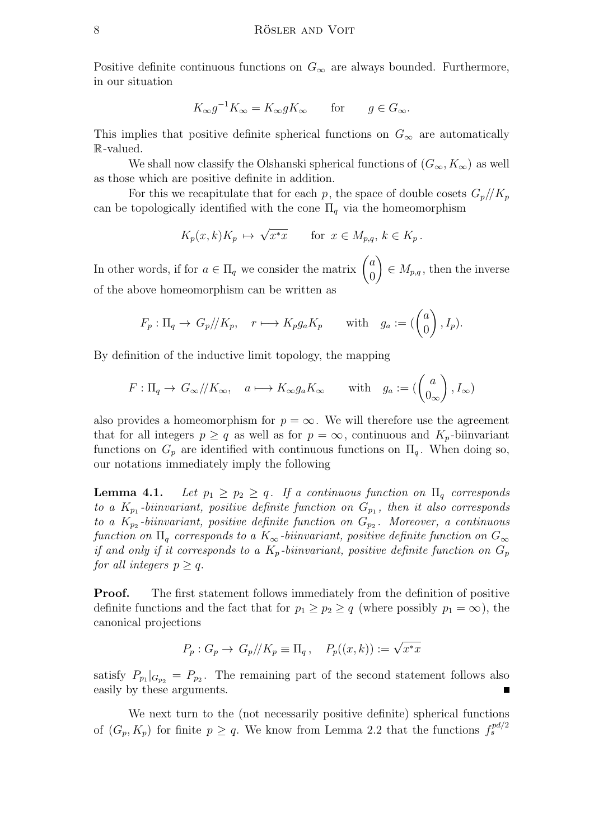Positive definite continuous functions on  $G_{\infty}$  are always bounded. Furthermore, in our situation

$$
K_{\infty}g^{-1}K_{\infty} = K_{\infty}gK_{\infty} \quad \text{for} \quad g \in G_{\infty}.
$$

This implies that positive definite spherical functions on  $G_{\infty}$  are automatically R-valued.

We shall now classify the Olshanski spherical functions of  $(G_{\infty}, K_{\infty})$  as well as those which are positive definite in addition.

For this we recapitulate that for each p, the space of double cosets  $G_p/\!/ K_p$ can be topologically identified with the cone  $\Pi_q$  via the homeomorphism

$$
K_p(x,k)K_p \,\mapsto\, \sqrt{x^*x} \qquad \text{for } x \in M_{p,q}, \, k \in K_p \, .
$$

In other words, if for  $a \in \Pi_q$  we consider the matrix  $\begin{pmatrix} a \\ 0 \end{pmatrix}$  $\theta$  $\setminus$  $\in M_{p,q}$ , then the inverse of the above homeomorphism can be written as

$$
F_p: \Pi_q \to G_p/\!/K_p, \quad r \longmapsto K_p g_a K_p \quad \text{with} \quad g_a := \begin{pmatrix} a \\ 0 \end{pmatrix}, I_p).
$$

By definition of the inductive limit topology, the mapping

$$
F: \Pi_q \to G_\infty/\!/ K_\infty, \quad a \longmapsto K_\infty g_a K_\infty \quad \text{with} \quad g_a := \left( \begin{pmatrix} a \\ 0_\infty \end{pmatrix}, I_\infty \right)
$$

also provides a homeomorphism for  $p = \infty$ . We will therefore use the agreement that for all integers  $p \geq q$  as well as for  $p = \infty$ , continuous and  $K_p$ -biinvariant functions on  $G_p$  are identified with continuous functions on  $\Pi_q$ . When doing so, our notations immediately imply the following

**Lemma 4.1.** Let  $p_1 \geq p_2 \geq q$ . If a continuous function on  $\Pi_q$  corresponds to a  $K_{p_1}$ -biinvariant, positive definite function on  $G_{p_1}$ , then it also corresponds to a  $K_{p_2}$ -biinvariant, positive definite function on  $G_{p_2}$ . Moreover, a continuous function on  $\Pi_q$  corresponds to a  $K_{\infty}$ -biinvariant, positive definite function on  $G_{\infty}$ if and only if it corresponds to a  $K_p$ -biinvariant, positive definite function on  $G_p$ for all integers  $p \geq q$ .

**Proof.** The first statement follows immediately from the definition of positive definite functions and the fact that for  $p_1 \geq p_2 \geq q$  (where possibly  $p_1 = \infty$ ), the canonical projections

$$
P_p: G_p \to G_p/\!/K_p \equiv \Pi_q, \quad P_p((x,k)) := \sqrt{x^*x}
$$

satisfy  $P_{p_1}|_{G_{p_2}} = P_{p_2}$ . The remaining part of the second statement follows also easily by these arguments.

We next turn to the (not necessarily positive definite) spherical functions of  $(G_p, K_p)$  for finite  $p \ge q$ . We know from Lemma 2.2 that the functions  $f_s^{pd/2}$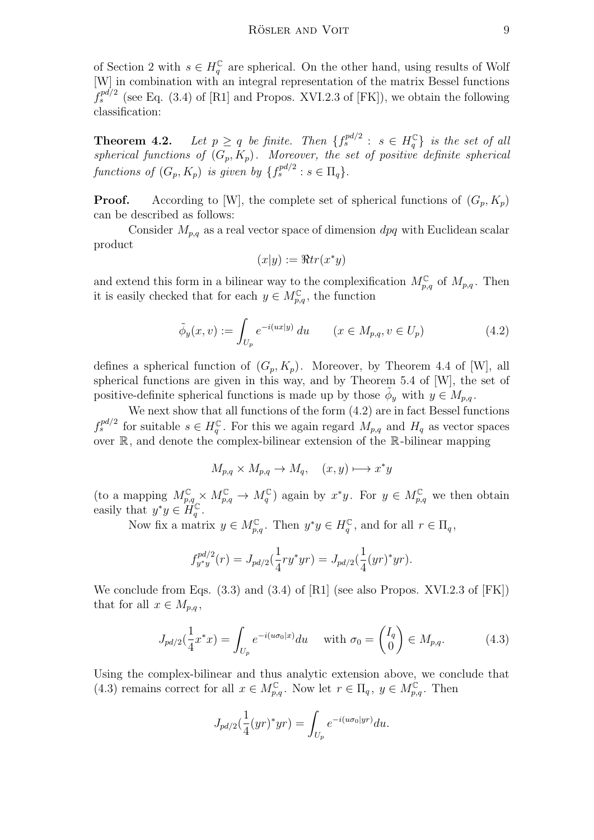of Section 2 with  $s \in H_q^{\mathbb{C}}$  are spherical. On the other hand, using results of Wolf [W] in combination with an integral representation of the matrix Bessel functions  $f_s^{pd/2}$  (see Eq. (3.4) of [R1] and Propos. XVI.2.3 of [FK]), we obtain the following classification:

**Theorem 4.2.** Let  $p \ge q$  be finite. Then  $\{f_s^{pd/2} : s \in H_q^{\mathbb{C}}\}$  is the set of all spherical functions of  $(G_p, K_p)$ . Moreover, the set of positive definite spherical functions of  $(G_p, K_p)$  is given by  $\{f_s^{pd/2} : s \in \Pi_q\}.$ 

**Proof.** According to [W], the complete set of spherical functions of  $(G_p, K_p)$ can be described as follows:

Consider  $M_{p,q}$  as a real vector space of dimension dpq with Euclidean scalar product

$$
(x|y) := \Re tr(x^*y)
$$

and extend this form in a bilinear way to the complexification  $M_{p,q}^{\mathbb{C}}$  of  $M_{p,q}$ . Then it is easily checked that for each  $y \in M_{p,q}^{\mathbb{C}}$ , the function

$$
\tilde{\phi}_y(x, v) := \int_{U_p} e^{-i(ux|y)} du \qquad (x \in M_{p,q}, v \in U_p)
$$
\n(4.2)

defines a spherical function of  $(G_p, K_p)$ . Moreover, by Theorem 4.4 of [W], all spherical functions are given in this way, and by Theorem 5.4 of [W], the set of positive-definite spherical functions is made up by those  $\phi_y$  with  $y \in M_{p,q}$ .

We next show that all functions of the form (4.2) are in fact Bessel functions  $f_s^{pd/2}$  for suitable  $s \in H_q^{\mathbb{C}}$ . For this we again regard  $M_{p,q}$  and  $H_q$  as vector spaces over  $\mathbb{R}$ , and denote the complex-bilinear extension of the  $\mathbb{R}$ -bilinear mapping

$$
M_{p,q}\times M_{p,q}\to M_q,\quad (x,y)\longmapsto x^*y
$$

(to a mapping  $M_{p,q}^{\mathbb{C}} \times M_{p,q}^{\mathbb{C}} \to M_q^{\mathbb{C}}$ ) again by  $x^*y$ . For  $y \in M_{p,q}^{\mathbb{C}}$  we then obtain easily that  $y^*y \in H_q^{\mathbb{C}}$ .

Now fix a matrix  $y \in M_{p,q}^{\mathbb{C}}$ . Then  $y^*y \in H_q^{\mathbb{C}}$ , and for all  $r \in \Pi_q$ ,

$$
f_{y^*y}^{pd/2}(r) = J_{pd/2}(\frac{1}{4}ry^*yr) = J_{pd/2}(\frac{1}{4}(yr)^*yr).
$$

We conclude from Eqs.  $(3.3)$  and  $(3.4)$  of [R1] (see also Propos. XVI.2.3 of [FK]) that for all  $x \in M_{p,q}$ ,

$$
J_{pd/2}(\frac{1}{4}x^*x) = \int_{U_p} e^{-i(u\sigma_0|x)} du \quad \text{with } \sigma_0 = \begin{pmatrix} I_q \\ 0 \end{pmatrix} \in M_{p,q}.
$$
 (4.3)

Using the complex-bilinear and thus analytic extension above, we conclude that (4.3) remains correct for all  $x \in M_{p,q}^{\mathbb{C}}$ . Now let  $r \in \Pi_q$ ,  $y \in M_{p,q}^{\mathbb{C}}$ . Then

$$
J_{pd/2}(\frac{1}{4}(yr)^*yr) = \int_{U_p} e^{-i(u\sigma_0|yr)} du.
$$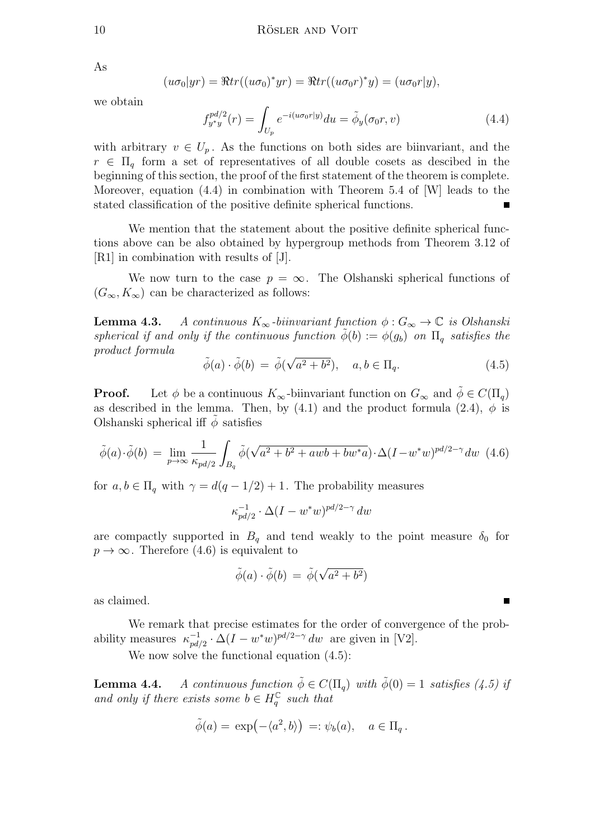As

$$
(u\sigma_0|yr) = \Re tr((u\sigma_0)^*yr) = \Re tr((u\sigma_0r)^*y) = (u\sigma_0r|y),
$$

we obtain

$$
f_{y*y}^{pd/2}(r) = \int_{U_p} e^{-i(u\sigma_0 r|y)} du = \tilde{\phi}_y(\sigma_0 r, v)
$$
\n(4.4)

with arbitrary  $v \in U_p$ . As the functions on both sides are biinvariant, and the  $r \in \Pi_{q}$  form a set of representatives of all double cosets as descibed in the beginning of this section, the proof of the first statement of the theorem is complete. Moreover, equation (4.4) in combination with Theorem 5.4 of [W] leads to the stated classification of the positive definite spherical functions.

We mention that the statement about the positive definite spherical functions above can be also obtained by hypergroup methods from Theorem 3.12 of [R1] in combination with results of [J].

We now turn to the case  $p = \infty$ . The Olshanski spherical functions of  $(G_{\infty}, K_{\infty})$  can be characterized as follows:

**Lemma 4.3.** A continuous  $K_{\infty}$ -biinvariant function  $\phi : G_{\infty} \to \mathbb{C}$  is Olshanski spherical if and only if the continuous function  $\phi(b) := \phi(g_b)$  on  $\Pi_a$  satisfies the product formula √

$$
\tilde{\phi}(a) \cdot \tilde{\phi}(b) = \tilde{\phi}(\sqrt{a^2 + b^2}), \quad a, b \in \Pi_q.
$$
\n(4.5)

**Proof.** Let  $\phi$  be a continuous  $K_{\infty}$ -biinvariant function on  $G_{\infty}$  and  $\phi \in C(\Pi_q)$ as described in the lemma. Then, by (4.1) and the product formula (2.4),  $\phi$  is Olshanski spherical iff  $\phi$  satisfies

$$
\tilde{\phi}(a)\cdot\tilde{\phi}(b) = \lim_{p \to \infty} \frac{1}{\kappa_{pd/2}} \int_{B_q} \tilde{\phi}(\sqrt{a^2 + b^2 + awb + bw^*a}) \cdot \Delta(I - w^*w)^{pd/2 - \gamma} dw \tag{4.6}
$$

for  $a, b \in \Pi_a$  with  $\gamma = d(q-1/2)+1$ . The probability measures

$$
\kappa_{pd/2}^{-1}\cdot\Delta(I-w^*w)^{pd/2-\gamma}\,dw
$$

are compactly supported in  $B_q$  and tend weakly to the point measure  $\delta_0$  for  $p \to \infty$ . Therefore (4.6) is equivalent to

$$
\tilde{\phi}(a) \cdot \tilde{\phi}(b) = \tilde{\phi}(\sqrt{a^2 + b^2})
$$

as claimed.

We remark that precise estimates for the order of convergence of the probability measures  $\kappa_{nd}^{-1}$  $\int_{pd/2}^{-1} \cdot \Delta (I - w^*w)^{pd/2 - \gamma} dw$  are given in [V2].

We now solve the functional equation  $(4.5)$ :

**Lemma 4.4.** A continuous function  $\tilde{\phi} \in C(\Pi_q)$  with  $\tilde{\phi}(0) = 1$  satisfies (4.5) if and only if there exists some  $b \in H_q^{\mathbb{C}}$  such that

$$
\tilde{\phi}(a) = \exp(-\langle a^2, b \rangle) =: \psi_b(a), \quad a \in \Pi_q.
$$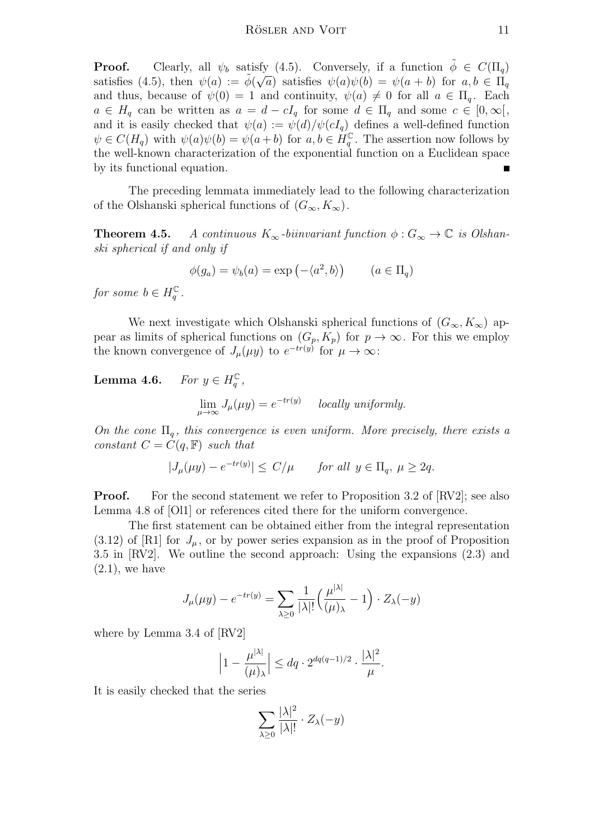**Proof.** Clearly, all  $\psi_b$  satisfy (4.5). Conversely, if a function  $\tilde{\phi} \in C(\Pi_q)$ satisfies (4.5), then  $\psi(a) := \tilde{\phi}(\sqrt{a})$  satisfies  $\psi(a)\psi(b) = \psi(a+b)$  for  $a, b \in \Pi_q$ and thus, because of  $\psi(0) = 1$  and continuity,  $\psi(a) \neq 0$  for all  $a \in \Pi_q$ . Each  $a \in H_q$  can be written as  $a = d - cI_q$  for some  $d \in \Pi_q$  and some  $c \in [0, \infty[,$ and it is easily checked that  $\psi(a) := \psi(d)/\psi(cI_q)$  defines a well-defined function  $\psi \in C(H_q)$  with  $\psi(a)\psi(b) = \psi(a+b)$  for  $a, b \in H_q^{\mathbb{C}}$ . The assertion now follows by the well-known characterization of the exponential function on a Euclidean space by its functional equation.

The preceding lemmata immediately lead to the following characterization of the Olshanski spherical functions of  $(G_{\infty}, K_{\infty})$ .

**Theorem 4.5.** A continuous  $K_{\infty}$ -biinvariant function  $\phi : G_{\infty} \to \mathbb{C}$  is Olshanski spherical if and only if

$$
\phi(g_a) = \psi_b(a) = \exp(-\langle a^2, b \rangle) \qquad (a \in \Pi_q)
$$

for some  $b \in H_q^{\mathbb{C}}$ .

We next investigate which Olshanski spherical functions of  $(G_{\infty}, K_{\infty})$  appear as limits of spherical functions on  $(G_p, K_p)$  for  $p \to \infty$ . For this we employ the known convergence of  $J_{\mu}(\mu y)$  to  $e^{-tr(y)}$  for  $\mu \to \infty$ :

**Lemma 4.6.** For  $y \in H_q^{\mathbb{C}}$ ,

$$
\lim_{\mu \to \infty} J_{\mu}(\mu y) = e^{-tr(y)} \quad \text{locally uniformly.}
$$

On the cone  $\Pi_a$ , this convergence is even uniform. More precisely, there exists a constant  $C = C(q, \mathbb{F})$  such that

$$
|J_{\mu}(\mu y) - e^{-tr(y)}| \le C/\mu \quad \text{for all } y \in \Pi_q, \ \mu \ge 2q.
$$

**Proof.** For the second statement we refer to Proposition 3.2 of [RV2]; see also Lemma 4.8 of [Ol1] or references cited there for the uniform convergence.

The first statement can be obtained either from the integral representation  $(3.12)$  of [R1] for  $J_{\mu}$ , or by power series expansion as in the proof of Proposition 3.5 in [RV2]. We outline the second approach: Using the expansions (2.3) and  $(2.1)$ , we have

$$
J_{\mu}(\mu y) - e^{-tr(y)} = \sum_{\lambda \ge 0} \frac{1}{|\lambda|!} \left( \frac{\mu^{|\lambda|}}{(\mu)_{\lambda}} - 1 \right) \cdot Z_{\lambda}(-y)
$$

where by Lemma 3.4 of [RV2]

$$
\left|1-\frac{\mu^{|\lambda|}}{(\mu)_\lambda}\right| \leq dq \cdot 2^{dq(q-1)/2} \cdot \frac{|\lambda|^2}{\mu}.
$$

It is easily checked that the series

$$
\sum_{\lambda \geq 0} \frac{|\lambda|^2}{|\lambda|!} \cdot Z_{\lambda}(-y)
$$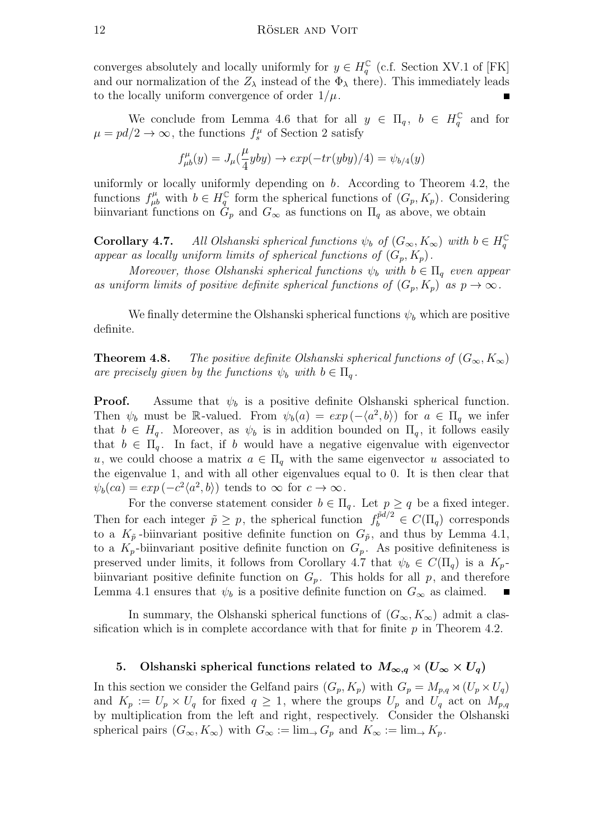converges absolutely and locally uniformly for  $y \in H_q^{\mathbb{C}}$  (c.f. Section XV.1 of [FK] and our normalization of the  $Z_{\lambda}$  instead of the  $\Phi_{\lambda}$  there). This immediately leads to the locally uniform convergence of order  $1/\mu$ .

We conclude from Lemma 4.6 that for all  $y \in \Pi_q$ ,  $b \in H_q^{\mathbb{C}}$  and for  $\mu = pd/2 \rightarrow \infty$ , the functions  $f_s^{\mu}$  of Section 2 satisfy

$$
f_{\mu b}^{\mu}(y) = J_{\mu}(\frac{\mu}{4}yby) \rightarrow exp(-tr(yby)/4) = \psi_{b/4}(y)
$$

uniformly or locally uniformly depending on  $b$ . According to Theorem 4.2, the functions  $f^{\mu}_{\mu b}$  with  $b \in H^{\mathbb{C}}_q$  form the spherical functions of  $(G_p, K_p)$ . Considering biinvariant functions on  $G_p$  and  $G_\infty$  as functions on  $\Pi_q$  as above, we obtain

**Corollary 4.7.** All Olshanski spherical functions  $\psi_b$  of  $(G_{\infty}, K_{\infty})$  with  $b \in H_q^{\mathbb{C}}$ appear as locally uniform limits of spherical functions of  $(G_p, K_p)$ .

Moreover, those Olshanski spherical functions  $\psi_b$  with  $b \in \Pi_a$  even appear as uniform limits of positive definite spherical functions of  $(G_p, K_p)$  as  $p \to \infty$ .

We finally determine the Olshanski spherical functions  $\psi_b$  which are positive definite.

**Theorem 4.8.** The positive definite Olshanski spherical functions of  $(G_{\infty}, K_{\infty})$ are precisely given by the functions  $\psi_b$  with  $b \in \Pi_a$ .

**Proof.** Assume that  $\psi_b$  is a positive definite Olshanski spherical function. Then  $\psi_b$  must be R-valued. From  $\psi_b(a) = exp(-\langle a^2, b \rangle)$  for  $a \in \Pi_q$  we infer that  $b \in H_q$ . Moreover, as  $\psi_b$  is in addition bounded on  $\Pi_q$ , it follows easily that  $b \in \Pi_q$ . In fact, if b would have a negative eigenvalue with eigenvector u, we could choose a matrix  $a \in \Pi_q$  with the same eigenvector u associated to the eigenvalue 1, and with all other eigenvalues equal to 0. It is then clear that  $\psi_b(ca) = exp(-c^2 \langle a^2, b \rangle)$  tends to  $\infty$  for  $c \to \infty$ .

For the converse statement consider  $b \in \Pi_q$ . Let  $p \ge q$  be a fixed integer. Then for each integer  $\tilde{p} \geq p$ , the spherical function  $f_b^{\tilde{p}d/2} \in C(\Pi_q)$  corresponds to a  $K_{\tilde{p}}$ -biinvariant positive definite function on  $G_{\tilde{p}}$ , and thus by Lemma 4.1, to a  $K_p$ -biinvariant positive definite function on  $G_p$ . As positive definiteness is preserved under limits, it follows from Corollary 4.7 that  $\psi_b \in C(\Pi_a)$  is a  $K_p$ biinvariant positive definite function on  $G_p$ . This holds for all p, and therefore Lemma 4.1 ensures that  $\psi_b$  is a positive definite function on  $G_{\infty}$  as claimed.

In summary, the Olshanski spherical functions of  $(G_{\infty}, K_{\infty})$  admit a classification which is in complete accordance with that for finite  $p$  in Theorem 4.2.

## 5. Olshanski spherical functions related to  $M_{\infty,q} \rtimes (U_{\infty} \times U_q)$

In this section we consider the Gelfand pairs  $(G_p, K_p)$  with  $G_p = M_{p,q} \rtimes (U_p \times U_q)$ and  $K_p := U_p \times U_q$  for fixed  $q \geq 1$ , where the groups  $U_p$  and  $U_q$  act on  $M_{p,q}$ by multiplication from the left and right, respectively. Consider the Olshanski spherical pairs  $(G_{\infty}, K_{\infty})$  with  $G_{\infty} := \lim_{\to} G_p$  and  $K_{\infty} := \lim_{\to} K_p$ .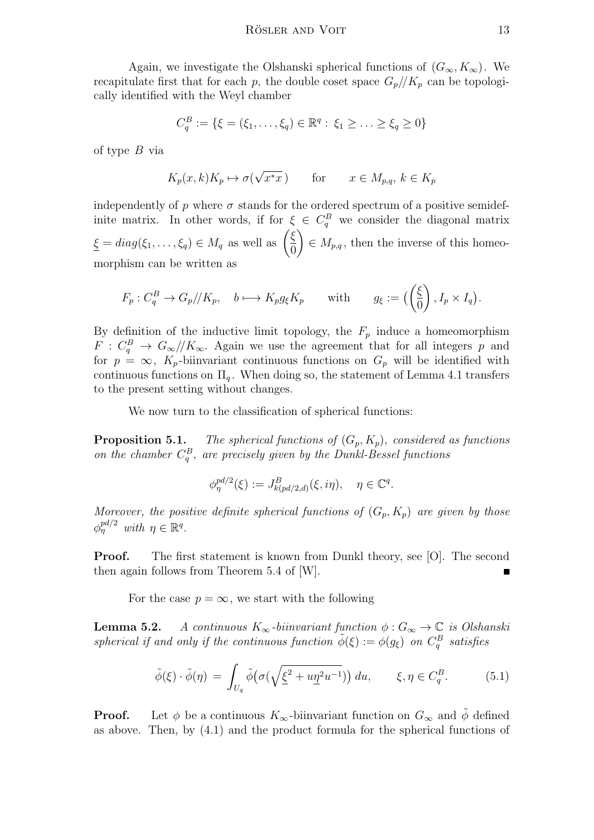Again, we investigate the Olshanski spherical functions of  $(G_{\infty}, K_{\infty})$ . We recapitulate first that for each p, the double coset space  $G_p/\!/ K_p$  can be topologically identified with the Weyl chamber

$$
C_q^B := \{ \xi = (\xi_1, \dots, \xi_q) \in \mathbb{R}^q : \xi_1 \geq \dots \geq \xi_q \geq 0 \}
$$

of type B via

$$
K_p(x,k)K_p \mapsto \sigma(\sqrt{x^*x}) \qquad \text{for} \qquad x \in M_{p,q}, \, k \in K_p
$$

independently of p where  $\sigma$  stands for the ordered spectrum of a positive semidefinite matrix. In other words, if for  $\xi \in C_q^B$  we consider the diagonal matrix  $\xi = diag(\xi_1, \ldots, \xi_q) \in M_q$  as well as  $\left(\frac{\xi}{\Omega}\right)$ 0  $\setminus$  $\in M_{p,q}$ , then the inverse of this homeomorphism can be written as

$$
F_p: C_q^B \to G_p/\!/ K_p
$$
,  $b \mapsto K_p g_{\xi} K_p$  with  $g_{\xi} := \left( \left( \frac{\xi}{0} \right), I_p \times I_q \right)$ .

By definition of the inductive limit topology, the  $F_p$  induce a homeomorphism  $F: C_q^B \to G_{\infty}/\!/K_{\infty}$ . Again we use the agreement that for all integers p and for  $p = \infty$ ,  $K_p$ -biinvariant continuous functions on  $G_p$  will be identified with continuous functions on  $\Pi_q$ . When doing so, the statement of Lemma 4.1 transfers to the present setting without changes.

We now turn to the classification of spherical functions:

**Proposition 5.1.** The spherical functions of  $(G_p, K_p)$ , considered as functions on the chamber  $C_q^B$ , are precisely given by the Dunkl-Bessel functions

$$
\phi_{\eta}^{pd/2}(\xi) := J_{k (pd/2,d)}^{B}(\xi, i\eta), \quad \eta \in \mathbb{C}^{q}.
$$

Moreover, the positive definite spherical functions of  $(G_p, K_p)$  are given by those  $\phi_{\eta}^{pd/2}$  with  $\eta \in \mathbb{R}^q$ .

**Proof.** The first statement is known from Dunkl theory, see [O]. The second then again follows from Theorem 5.4 of [W].

For the case  $p = \infty$ , we start with the following

**Lemma 5.2.** A continuous  $K_{\infty}$ -biinvariant function  $\phi : G_{\infty} \to \mathbb{C}$  is Olshanski spherical if and only if the continuous function  $\tilde{\phi}(\xi) := \phi(g_{\xi})$  on  $C_q^B$  satisfies

$$
\tilde{\phi}(\xi) \cdot \tilde{\phi}(\eta) = \int_{U_q} \tilde{\phi} \big( \sigma \big( \sqrt{\underline{\xi}^2 + u \underline{\eta}^2 u^{-1}} \big) \big) du, \qquad \xi, \eta \in C_q^B. \tag{5.1}
$$

**Proof.** Let  $\phi$  be a continuous  $K_{\infty}$ -biinvariant function on  $G_{\infty}$  and  $\phi$  defined as above. Then, by (4.1) and the product formula for the spherical functions of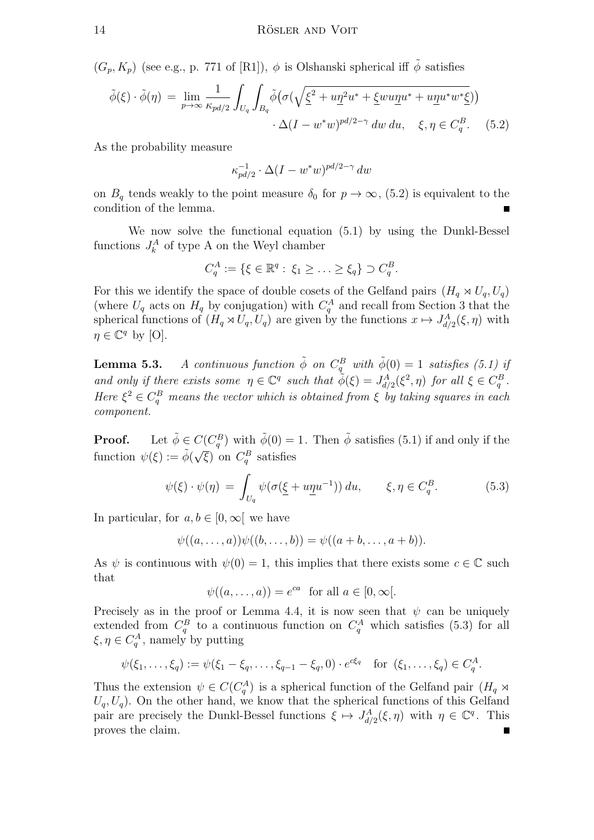$(G_p, K_p)$  (see e.g., p. 771 of [R1]),  $\phi$  is Olshanski spherical iff  $\tilde{\phi}$  satisfies

$$
\tilde{\phi}(\xi) \cdot \tilde{\phi}(\eta) = \lim_{p \to \infty} \frac{1}{\kappa_{pd/2}} \int_{U_q} \int_{B_q} \tilde{\phi} \big( \sigma(\sqrt{\xi^2 + u \eta^2 u^* + \xi w u \eta u^* + u \eta u^* w^* \xi}) \big) \cdot \Delta(I - w^* w)^{pd/2 - \gamma} \, dw \, du, \quad \xi, \eta \in C_q^B. \tag{5.2}
$$

As the probability measure

$$
\kappa_{pd/2}^{-1}\cdot\Delta(I-w^*w)^{pd/2-\gamma}\,dw
$$

on  $B_q$  tends weakly to the point measure  $\delta_0$  for  $p \to \infty$ , (5.2) is equivalent to the condition of the lemma.

We now solve the functional equation (5.1) by using the Dunkl-Bessel functions  $J_k^A$  of type A on the Weyl chamber

$$
C_q^A := \{ \xi \in \mathbb{R}^q : \xi_1 \geq \ldots \geq \xi_q \} \supset C_q^B.
$$

For this we identify the space of double cosets of the Gelfand pairs  $(H_q \rtimes U_q, U_q)$ (where  $U_q$  acts on  $H_q$  by conjugation) with  $C_q^A$  and recall from Section 3 that the spherical functions of  $(H_q \rtimes U_q, U_q)$  are given by the functions  $x \mapsto J_{d/2}^A(\xi, \eta)$  with  $\eta \in \mathbb{C}^q$  by [O].

**Lemma 5.3.** A continuous function  $\tilde{\phi}$  on  $C_q^B$  with  $\tilde{\phi}(0) = 1$  satisfies (5.1) if and only if there exists some  $\eta \in \mathbb{C}^q$  such that  $\tilde{\phi}(\xi) = J_{d/2}^A(\xi^2, \eta)$  for all  $\xi \in C_q^B$ . Here  $\xi^2 \in C_q^B$  means the vector which is obtained from  $\xi$  by taking squares in each component.

**Proof.** Let  $\tilde{\phi} \in C(C_q^B)$  with  $\tilde{\phi}(0) = 1$ . Then  $\tilde{\phi}$  satisfies (5.1) if and only if the function  $\psi(\xi) := \tilde{\phi}(\sqrt{\xi})$  on  $C_q^B$  satisfies

$$
\psi(\xi) \cdot \psi(\eta) = \int_{U_q} \psi(\sigma(\underline{\xi} + u\underline{\eta}u^{-1})) du, \qquad \xi, \eta \in C_q^B. \tag{5.3}
$$

In particular, for  $a, b \in [0, \infty)$  we have

$$
\psi((a,\ldots,a))\psi((b,\ldots,b))=\psi((a+b,\ldots,a+b)).
$$

As  $\psi$  is continuous with  $\psi(0) = 1$ , this implies that there exists some  $c \in \mathbb{C}$  such that

$$
\psi((a,\ldots,a)) = e^{ca} \text{ for all } a \in [0,\infty[.
$$

Precisely as in the proof or Lemma 4.4, it is now seen that  $\psi$  can be uniquely extended from  $C_q^B$  to a continuous function on  $C_q^A$  which satisfies (5.3) for all  $\xi, \eta \in C_q^A$ , namely by putting

$$
\psi(\xi_1,\ldots,\xi_q) := \psi(\xi_1 - \xi_q,\ldots,\xi_{q-1} - \xi_q,0) \cdot e^{c\xi_q} \quad \text{for } (\xi_1,\ldots,\xi_q) \in C_q^A.
$$

Thus the extension  $\psi \in C(C_q^A)$  is a spherical function of the Gelfand pair  $(H_q \rtimes$  $U_q, U_q$ ). On the other hand, we know that the spherical functions of this Gelfand pair are precisely the Dunkl-Bessel functions  $\xi \mapsto J_{d/2}^A(\xi, \eta)$  with  $\eta \in \mathbb{C}^q$ . This proves the claim.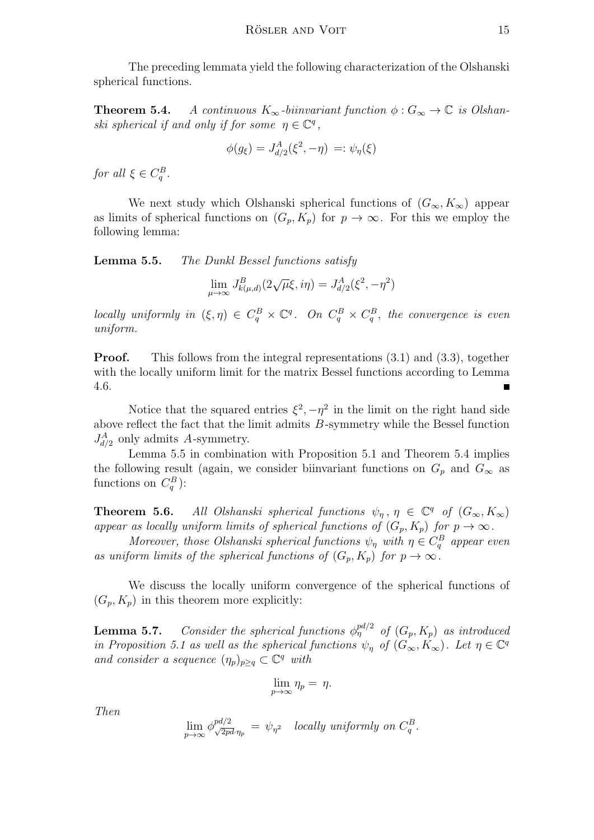The preceding lemmata yield the following characterization of the Olshanski spherical functions.

**Theorem 5.4.** A continuous  $K_{\infty}$ -biinvariant function  $\phi : G_{\infty} \to \mathbb{C}$  is Olshanski spherical if and only if for some  $\eta \in \mathbb{C}^q$ ,

$$
\phi(g_{\xi}) = J_{d/2}^{A}(\xi^{2}, -\eta) =: \psi_{\eta}(\xi)
$$

for all  $\xi \in C_q^B$ .

We next study which Olshanski spherical functions of  $(G_{\infty}, K_{\infty})$  appear as limits of spherical functions on  $(G_p, K_p)$  for  $p \to \infty$ . For this we employ the following lemma:

Lemma 5.5. The Dunkl Bessel functions satisfy

$$
\lim_{\mu \to \infty} J_{k(\mu,d)}^B(2\sqrt{\mu}\xi, i\eta) = J_{d/2}^A(\xi^2, -\eta^2)
$$

locally uniformly in  $(\xi, \eta) \in C_q^B \times \mathbb{C}^q$ . On  $C_q^B \times C_q^B$ , the convergence is even uniform.

**Proof.** This follows from the integral representations  $(3.1)$  and  $(3.3)$ , together with the locally uniform limit for the matrix Bessel functions according to Lemma 4.6. ۳

Notice that the squared entries  $\xi^2$ ,  $-\eta^2$  in the limit on the right hand side above reflect the fact that the limit admits B-symmetry while the Bessel function  $J_{d/2}^A$  only admits A-symmetry.

Lemma 5.5 in combination with Proposition 5.1 and Theorem 5.4 implies the following result (again, we consider biinvariant functions on  $G_p$  and  $G_\infty$  as functions on  $C_q^B$ ):

**Theorem 5.6.** All Olshanski spherical functions  $\psi_{\eta}$ ,  $\eta \in \mathbb{C}^q$  of  $(G_{\infty}, K_{\infty})$ appear as locally uniform limits of spherical functions of  $(G_p, K_p)$  for  $p \to \infty$ .

Moreover, those Olshanski spherical functions  $\psi_{\eta}$  with  $\eta \in C_q^B$  appear even as uniform limits of the spherical functions of  $(G_p, K_p)$  for  $p \to \infty$ .

We discuss the locally uniform convergence of the spherical functions of  $(G_p, K_p)$  in this theorem more explicitly:

**Lemma 5.7.** Consider the spherical functions  $\phi_{\eta}^{pd/2}$  of  $(G_p, K_p)$  as introduced in Proposition 5.1 as well as the spherical functions  $\psi_{\eta}$  of  $(G_{\infty}, K_{\infty})$ . Let  $\eta \in \mathbb{C}^q$ and consider a sequence  $(\eta_p)_{p \geq q} \subset \mathbb{C}^q$  with

$$
\lim_{p\to\infty}\eta_p=\eta.
$$

Then

$$
\lim_{p \to \infty} \phi_{\sqrt{2pd}}^{pd/2} \eta_p = \psi_{\eta^2} \quad locally \ uniformly \ on \ C_q^B.
$$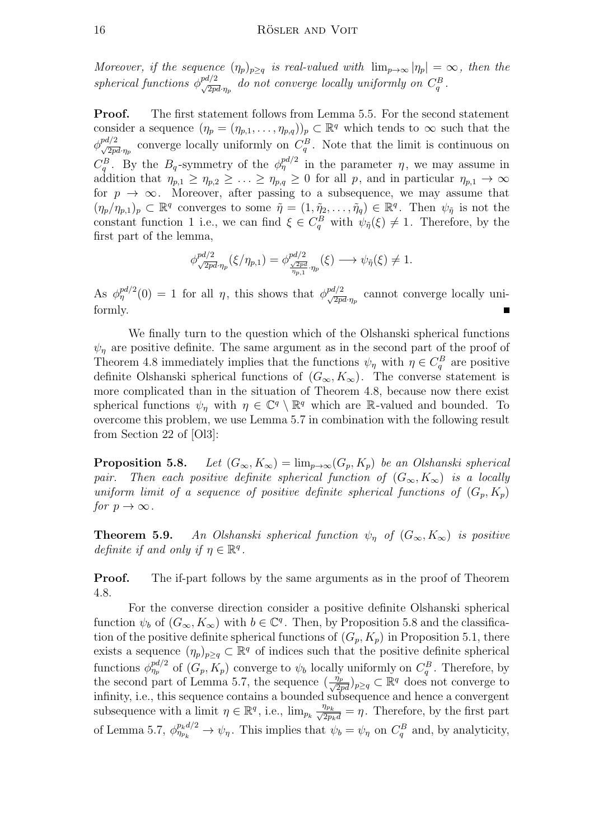Moreover, if the sequence  $(\eta_p)_{p\geq q}$  is real-valued with  $\lim_{p\to\infty} |\eta_p| = \infty$ , then the spherical functions  $\phi^{pd/2}_{\sqrt{2pd}\eta_p}$  do not converge locally uniformly on  $C_q^B$ .

**Proof.** The first statement follows from Lemma 5.5. For the second statement consider a sequence  $(\eta_p = (\eta_{p,1}, \ldots, \eta_{p,q}))_p \subset \mathbb{R}^q$  which tends to  $\infty$  such that the  $\phi_{\sqrt{2pd}\cdot\eta_p}^{pd/2}$  converge locally uniformly on  $C_q^B$ . Note that the limit is continuous on  $C_q^B$ . By the  $B_q$ -symmetry of the  $\phi_\eta^{pd/2}$  in the parameter  $\eta$ , we may assume in addition that  $\eta_{p,1} \geq \eta_{p,2} \geq \ldots \geq \eta_{p,q} \geq 0$  for all p, and in particular  $\eta_{p,1} \to \infty$ for  $p \to \infty$ . Moreover, after passing to a subsequence, we may assume that  $(\eta_p/\eta_{p,1})_p \subset \mathbb{R}^q$  converges to some  $\tilde{\eta} = (1, \tilde{\eta}_2, \ldots, \tilde{\eta}_q) \in \mathbb{R}^q$ . Then  $\psi_{\tilde{\eta}}$  is not the constant function 1 i.e., we can find  $\xi \in C_q^B$  with  $\psi_{\tilde{\eta}}(\xi) \neq 1$ . Therefore, by the first part of the lemma,

$$
\phi_{\sqrt{2pd}\cdot\eta_p}^{pd/2}(\xi/\eta_{p,1}) = \phi_{\frac{\sqrt{2pd}}{\eta_{p,1}}\cdot\eta_p}^{pd/2}(\xi) \longrightarrow \psi_{\tilde{\eta}}(\xi) \neq 1.
$$

As  $\phi_{\eta}^{pd/2}(0) = 1$  for all  $\eta$ , this shows that  $\phi_{\sqrt{2pd}\eta_p}^{pd/2}$  cannot converge locally uniformly.

We finally turn to the question which of the Olshanski spherical functions  $\psi_n$  are positive definite. The same argument as in the second part of the proof of Theorem 4.8 immediately implies that the functions  $\psi_{\eta}$  with  $\eta \in C_q^B$  are positive definite Olshanski spherical functions of  $(G_{\infty}, K_{\infty})$ . The converse statement is more complicated than in the situation of Theorem 4.8, because now there exist spherical functions  $\psi_{\eta}$  with  $\eta \in \mathbb{C}^q \setminus \mathbb{R}^q$  which are R-valued and bounded. To overcome this problem, we use Lemma 5.7 in combination with the following result from Section 22 of [Ol3]:

**Proposition 5.8.** Let  $(G_{\infty}, K_{\infty}) = \lim_{p \to \infty} (G_p, K_p)$  be an Olshanski spherical pair. Then each positive definite spherical function of  $(G_{\infty}, K_{\infty})$  is a locally uniform limit of a sequence of positive definite spherical functions of  $(G_p, K_p)$ for  $p \to \infty$ .

**Theorem 5.9.** An Olshanski spherical function  $\psi_{\eta}$  of  $(G_{\infty}, K_{\infty})$  is positive definite if and only if  $\eta \in \mathbb{R}^q$ .

**Proof.** The if-part follows by the same arguments as in the proof of Theorem 4.8.

For the converse direction consider a positive definite Olshanski spherical function  $\psi_b$  of  $(G_{\infty}, K_{\infty})$  with  $b \in \mathbb{C}^q$ . Then, by Proposition 5.8 and the classification of the positive definite spherical functions of  $(G_p, K_p)$  in Proposition 5.1, there exists a sequence  $(\eta_p)_{p\geq q} \subset \mathbb{R}^q$  of indices such that the positive definite spherical functions  $\phi_{\eta_p}^{pd/2}$  of  $(G_p, K_p)$  converge to  $\psi_b$  locally uniformly on  $C_q^B$ . Therefore, by the second part of Lemma 5.7, the sequence  $(\frac{\eta_p}{\sqrt{2pd}})_{p\geq q} \subset \mathbb{R}^q$  does not converge to infinity, i.e., this sequence contains a bounded subsequence and hence a convergent subsequence with a limit  $\eta \in \mathbb{R}^q$ , i.e.,  $\lim_{p_k} \frac{\eta_{p_k}}{\sqrt{2p_kd}} = \eta$ . Therefore, by the first part of Lemma 5.7,  $\phi_{\eta_{p_k}}^{p_k d/2} \to \psi_{\eta}$ . This implies that  $\psi_b = \psi_{\eta}$  on  $C_q^B$  and, by analyticity,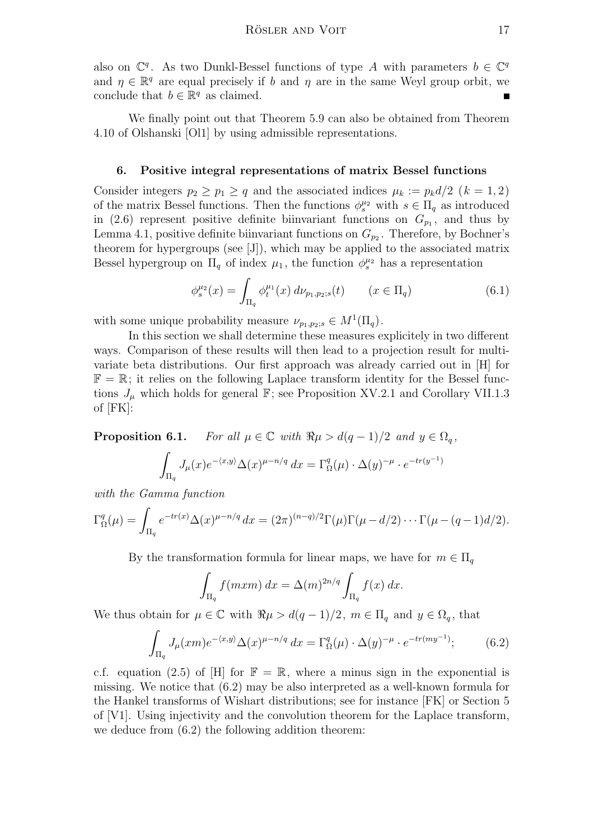also on  $\mathbb{C}^q$ . As two Dunkl-Bessel functions of type A with parameters  $b \in \mathbb{C}^q$ and  $\eta \in \mathbb{R}^q$  are equal precisely if b and  $\eta$  are in the same Weyl group orbit, we conclude that  $b \in \mathbb{R}^q$  as claimed.

We finally point out that Theorem 5.9 can also be obtained from Theorem 4.10 of Olshanski [Ol1] by using admissible representations.

## 6. Positive integral representations of matrix Bessel functions

Consider integers  $p_2 \geq p_1 \geq q$  and the associated indices  $\mu_k := p_k d/2$   $(k = 1, 2)$ of the matrix Bessel functions. Then the functions  $\phi_s^{\mu_2}$  with  $s \in \Pi_q$  as introduced in (2.6) represent positive definite biinvariant functions on  $G_{p_1}$ , and thus by Lemma 4.1, positive definite biinvariant functions on  $G_{p_2}$ . Therefore, by Bochner's theorem for hypergroups (see [J]), which may be applied to the associated matrix Bessel hypergroup on  $\Pi_q$  of index  $\mu_1$ , the function  $\phi_s^{\mu_2}$  has a representation

$$
\phi_s^{\mu_2}(x) = \int_{\Pi_q} \phi_t^{\mu_1}(x) \, d\nu_{p_1, p_2; s}(t) \qquad (x \in \Pi_q)
$$
\n(6.1)

with some unique probability measure  $\nu_{p_1,p_2;s} \in M^1(\Pi_q)$ .

In this section we shall determine these measures explicitely in two different ways. Comparison of these results will then lead to a projection result for multivariate beta distributions. Our first approach was already carried out in [H] for  $\mathbb{F} = \mathbb{R}$ ; it relies on the following Laplace transform identity for the Bessel functions  $J_{\mu}$  which holds for general  $\mathbb{F}$ ; see Proposition XV.2.1 and Corollary VII.1.3 of [FK]:

**Proposition 6.1.** For all  $\mu \in \mathbb{C}$  with  $\Re \mu > d(q-1)/2$  and  $y \in \Omega_q$ , Z )

$$
\int_{\Pi_q} J_\mu(x) e^{-\langle x, y \rangle} \Delta(x)^{\mu - n/q} dx = \Gamma_\Omega^q(\mu) \cdot \Delta(y)^{-\mu} \cdot e^{-tr(y^{-1})}
$$

with the Gamma function

$$
\Gamma_{\Omega}^{q}(\mu) = \int_{\Pi_{q}} e^{-tr(x)} \Delta(x)^{\mu - n/q} dx = (2\pi)^{(n-q)/2} \Gamma(\mu) \Gamma(\mu - d/2) \cdots \Gamma(\mu - (q-1)d/2).
$$

By the transformation formula for linear maps, we have for  $m \in \Pi_q$ 

$$
\int_{\Pi_q} f(mxm) dx = \Delta(m)^{2n/q} \int_{\Pi_q} f(x) dx.
$$

We thus obtain for  $\mu \in \mathbb{C}$  with  $\Re \mu > d(q-1)/2$ ,  $m \in \Pi_q$  and  $y \in \Omega_q$ , that

$$
\int_{\Pi_q} J_\mu(xm) e^{-\langle x,y\rangle} \Delta(x)^{\mu-n/q} dx = \Gamma_\Omega^q(\mu) \cdot \Delta(y)^{-\mu} \cdot e^{-tr(my^{-1})};\tag{6.2}
$$

c.f. equation (2.5) of [H] for  $\mathbb{F} = \mathbb{R}$ , where a minus sign in the exponential is missing. We notice that (6.2) may be also interpreted as a well-known formula for the Hankel transforms of Wishart distributions; see for instance [FK] or Section 5 of [V1]. Using injectivity and the convolution theorem for the Laplace transform, we deduce from (6.2) the following addition theorem: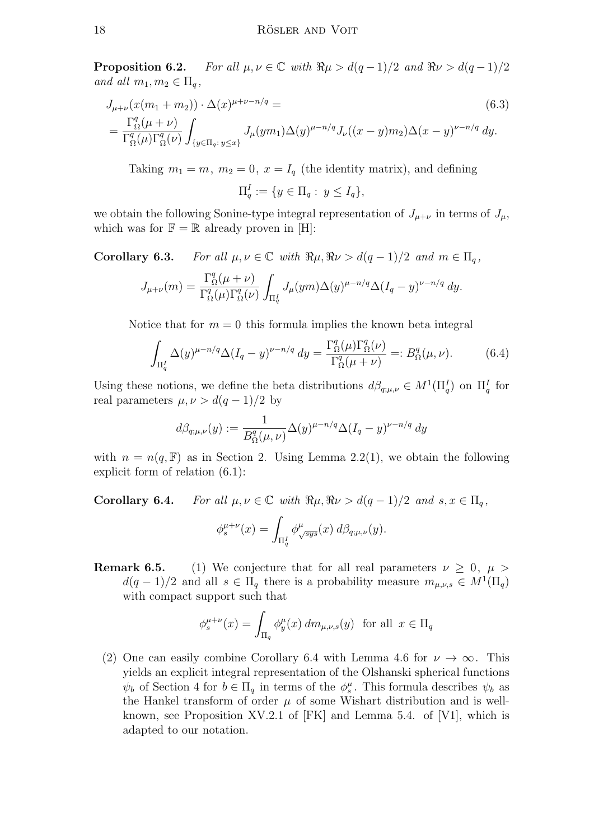**Proposition 6.2.** For all  $\mu, \nu \in \mathbb{C}$  with  $\Re \mu > d(q-1)/2$  and  $\Re \nu > d(q-1)/2$ and all  $m_1, m_2 \in \Pi_q$ ,

$$
J_{\mu+\nu}(x(m_1+m_2)) \cdot \Delta(x)^{\mu+\nu-n/q} =
$$
\n
$$
= \frac{\Gamma_{\Omega}^q(\mu+\nu)}{\Gamma_{\Omega}^q(\mu)\Gamma_{\Omega}^q(\nu)} \int_{\{y \in \Pi_q : y \le x\}} J_{\mu}(ym_1) \Delta(y)^{\mu-n/q} J_{\nu}((x-y)m_2) \Delta(x-y)^{\nu-n/q} dy.
$$
\n(6.3)

Taking  $m_1 = m$ ,  $m_2 = 0$ ,  $x = I_q$  (the identity matrix), and defining

$$
\Pi_q^I := \{ y \in \Pi_q : y \le I_q \},
$$

we obtain the following Sonine-type integral representation of  $J_{\mu+\nu}$  in terms of  $J_{\mu}$ , which was for  $\mathbb{F} = \mathbb{R}$  already proven in [H]:

**Corollary 6.3.** For all  $\mu, \nu \in \mathbb{C}$  with  $\Re \mu, \Re \nu > d(q-1)/2$  and  $m \in \Pi_q$ ,

$$
J_{\mu+\nu}(m) = \frac{\Gamma_{\Omega}^q(\mu+\nu)}{\Gamma_{\Omega}^q(\mu)\Gamma_{\Omega}^q(\nu)} \int_{\Pi_q^I} J_{\mu}(ym) \Delta(y)^{\mu-n/q} \Delta(I_q - y)^{\nu-n/q} dy.
$$

Notice that for  $m = 0$  this formula implies the known beta integral

$$
\int_{\Pi_q^I} \Delta(y)^{\mu - n/q} \Delta(I_q - y)^{\nu - n/q} dy = \frac{\Gamma_\Omega^q(\mu) \Gamma_\Omega^q(\nu)}{\Gamma_\Omega^q(\mu + \nu)} =: B_\Omega^q(\mu, \nu). \tag{6.4}
$$

Using these notions, we define the beta distributions  $d\beta_{q;\mu,\nu} \in M^1(\Pi_q^I)$  on  $\Pi_q^I$  for real parameters  $\mu, \nu > d(q-1)/2$  by

$$
d\beta_{q;\mu,\nu}(y) := \frac{1}{B_{\Omega}^q(\mu,\nu)} \Delta(y)^{\mu-n/q} \Delta(I_q - y)^{\nu-n/q} dy
$$

with  $n = n(q, \mathbb{F})$  as in Section 2. Using Lemma 2.2(1), we obtain the following explicit form of relation (6.1):

**Corollary 6.4.** For all  $\mu, \nu \in \mathbb{C}$  with  $\Re \mu, \Re \nu > d(q-1)/2$  and  $s, x \in \Pi_q$ ,

$$
\phi_s^{\mu+\nu}(x) = \int_{\Pi_q^I} \phi_{\sqrt{sys}}^{\mu}(x) d\beta_{q;\mu,\nu}(y).
$$

**Remark 6.5.** (1) We conjecture that for all real parameters  $\nu \geq 0$ ,  $\mu >$  $d(q-1)/2$  and all  $s \in \Pi_q$  there is a probability measure  $m_{\mu,\nu,s} \in M^1(\Pi_q)$ with compact support such that

$$
\phi_s^{\mu+\nu}(x) = \int_{\Pi_q} \phi_y^{\mu}(x) \, dm_{\mu,\nu,s}(y) \text{ for all } x \in \Pi_q
$$

(2) One can easily combine Corollary 6.4 with Lemma 4.6 for  $\nu \to \infty$ . This yields an explicit integral representation of the Olshanski spherical functions  $\psi_b$  of Section 4 for  $b \in \Pi_q$  in terms of the  $\phi_s^{\mu}$ . This formula describes  $\psi_b$  as the Hankel transform of order  $\mu$  of some Wishart distribution and is wellknown, see Proposition XV.2.1 of  $[FK]$  and Lemma 5.4. of [V1], which is adapted to our notation.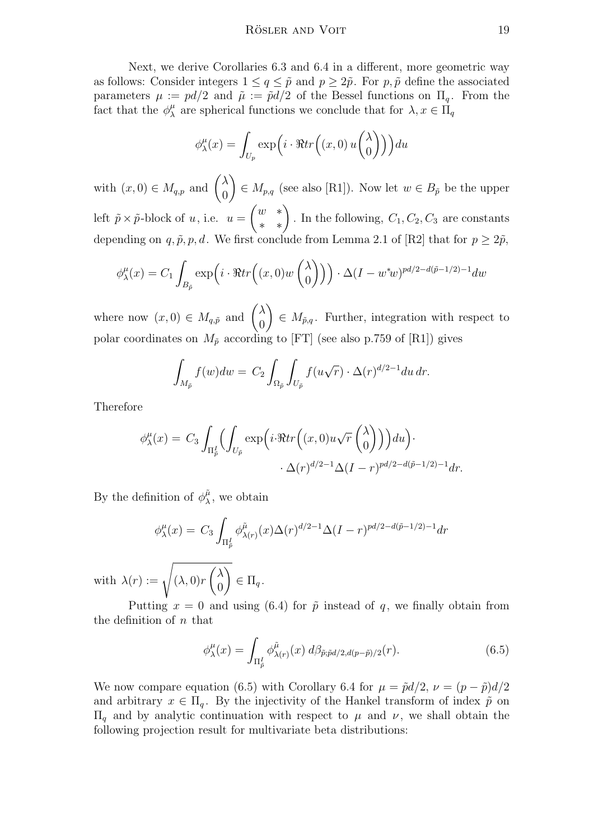Next, we derive Corollaries 6.3 and 6.4 in a different, more geometric way as follows: Consider integers  $1 \leq q \leq \tilde{p}$  and  $p \geq 2\tilde{p}$ . For p,  $\tilde{p}$  define the associated parameters  $\mu := pd/2$  and  $\tilde{\mu} := \tilde{p}d/2$  of the Bessel functions on  $\Pi_q$ . From the fact that the  $\phi^{\mu}_{\lambda}$  $\mu_{\lambda}^{\mu}$  are spherical functions we conclude that for  $\lambda, x \in \Pi_{q}$ 

$$
\phi_{\lambda}^{\mu}(x) = \int_{U_p} \exp\left(i \cdot \Re tr\left((x,0) u\begin{pmatrix} \lambda \\ 0 \end{pmatrix}\right)\right) du
$$

with  $(x, 0) \in M_{q,p}$  and  $\begin{pmatrix} \lambda & \lambda \\ 0 & \lambda \end{pmatrix}$ 0  $\setminus$  $\in M_{p,q}$  (see also [R1]). Now let  $w \in B_{\tilde{p}}$  be the upper left  $\tilde{p} \times \tilde{p}$ -block of u, i.e.  $u =$  $\begin{pmatrix} w & * \\ * & * \end{pmatrix}$ . In the following,  $C_1, C_2, C_3$  are constants depending on q,  $\tilde{p}$ , p, d. We first conclude from Lemma 2.1 of [R2] that for  $p \geq 2\tilde{p}$ ,

$$
\phi_{\lambda}^{\mu}(x) = C_1 \int_{B_{\tilde{p}}} \exp\left(i \cdot \Re tr\left((x,0)w\begin{pmatrix} \lambda \\ 0 \end{pmatrix}\right)\right) \cdot \Delta (I - w^*w)^{pd/2 - d(\tilde{p}-1/2) - 1} dw
$$

where now  $(x, 0) \in M_{q,\tilde{p}}$  and  $\begin{pmatrix} \lambda & \lambda \\ 0 & \lambda \end{pmatrix}$ 0  $\setminus$  $\in M_{\tilde{p},q}$ . Further, integration with respect to polar coordinates on  $M_{\tilde{p}}$  according to [FT] (see also p.759 of [R1]) gives

$$
\int_{M_{\tilde{p}}} f(w) dw = C_2 \int_{\Omega_{\tilde{p}}} \int_{U_{\tilde{p}}} f(u\sqrt{r}) \cdot \Delta(r)^{d/2 - 1} du dr.
$$

Therefore

$$
\phi_{\lambda}^{\mu}(x) = C_3 \int_{\Pi_{\tilde{p}}^{\tilde{I}}} \left( \int_{U_{\tilde{p}}} \exp \left( i \cdot \Re tr \left( (x, 0) u \sqrt{r} \begin{pmatrix} \lambda \\ 0 \end{pmatrix} \right) \right) du \right) \cdot \Delta(r)^{d/2 - 1} \Delta(I - r)^{pd/2 - d(\tilde{p} - 1/2) - 1} dr.
$$

By the definition of  $\phi_{\lambda}^{\tilde{\mu}}$  $\mu_{\lambda}^{\mu}$ , we obtain

$$
\phi_{\lambda}^{\mu}(x) = C_3 \int_{\Pi_{\tilde{p}}^{\tilde{L}}} \phi_{\lambda(r)}^{\tilde{\mu}}(x) \Delta(r)^{d/2 - 1} \Delta(I - r)^{pd/2 - d(\tilde{p} - 1/2) - 1} dr
$$

with  $\lambda(r) := \sqrt{(\lambda, 0)r}$  $\bigwedge$ 0  $\setminus$  $\in \Pi_q$ .

Putting  $x = 0$  and using (6.4) for  $\tilde{p}$  instead of q, we finally obtain from the definition of  $n$  that

$$
\phi_{\lambda}^{\mu}(x) = \int_{\Pi_{\tilde{p}}^{I}} \phi_{\lambda(r)}^{\tilde{\mu}}(x) d\beta_{\tilde{p}; \tilde{p}d/2, d(p-\tilde{p})/2}(r).
$$
 (6.5)

We now compare equation (6.5) with Corollary 6.4 for  $\mu = \tilde{p}d/2$ ,  $\nu = (p - \tilde{p})d/2$ and arbitrary  $x \in \Pi_q$ . By the injectivity of the Hankel transform of index  $\tilde{p}$  on  $\Pi$ <sub>q</sub> and by analytic continuation with respect to  $\mu$  and  $\nu$ , we shall obtain the following projection result for multivariate beta distributions: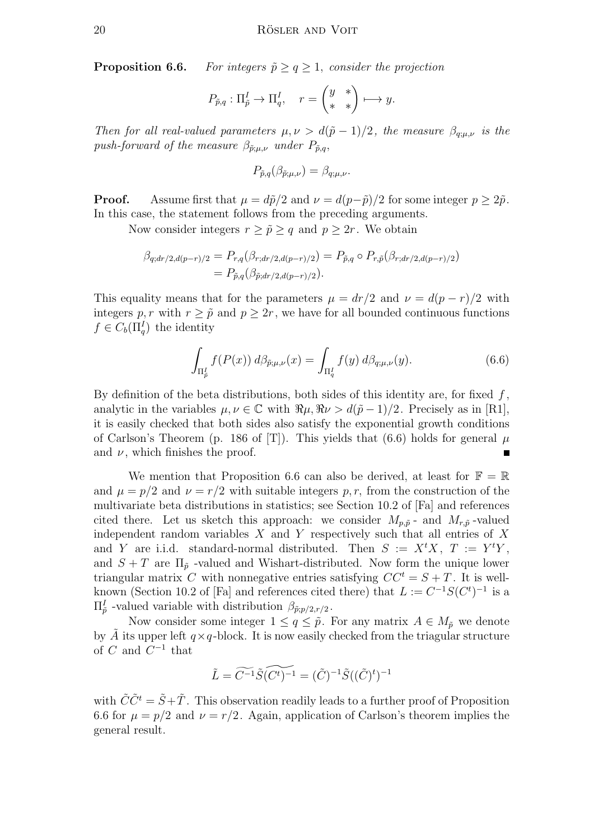**Proposition 6.6.** For integers  $\tilde{p} \geq q \geq 1$ , consider the projection

$$
P_{\tilde{p},q}: \Pi_{\tilde{p}}^I \to \Pi_q^I, \quad r = \begin{pmatrix} y & * \\ * & * \end{pmatrix} \longmapsto y.
$$

Then for all real-valued parameters  $\mu, \nu > d(\tilde{p} - 1)/2$ , the measure  $\beta_{q;\mu,\nu}$  is the push-forward of the measure  $\beta_{\tilde{p};\mu,\nu}$  under  $P_{\tilde{p},q}$ ,

$$
P_{\tilde{p},q}(\beta_{\tilde{p};\mu,\nu})=\beta_{q;\mu,\nu}.
$$

**Proof.** Assume first that  $\mu = d\tilde{p}/2$  and  $\nu = d(p-\tilde{p})/2$  for some integer  $p \geq 2\tilde{p}$ . In this case, the statement follows from the preceding arguments.

Now consider integers  $r \geq \tilde{p} \geq q$  and  $p \geq 2r$ . We obtain

$$
\beta_{q;dr/2,d(p-r)/2} = P_{r,q}(\beta_{r;dr/2,d(p-r)/2}) = P_{\tilde{p},q} \circ P_{r,\tilde{p}}(\beta_{r;dr/2,d(p-r)/2}) \n= P_{\tilde{p},q}(\beta_{\tilde{p};dr/2,d(p-r)/2}).
$$

This equality means that for the parameters  $\mu = dr/2$  and  $\nu = d(p - r)/2$  with integers p, r with  $r \geq \tilde{p}$  and  $p \geq 2r$ , we have for all bounded continuous functions  $f \in C_b(\Pi_q^I)$  the identity

$$
\int_{\Pi_{\tilde{p}}^{I}} f(P(x)) \, d\beta_{\tilde{p};\mu,\nu}(x) = \int_{\Pi_{q}^{I}} f(y) \, d\beta_{q;\mu,\nu}(y). \tag{6.6}
$$

By definition of the beta distributions, both sides of this identity are, for fixed  $f$ , analytic in the variables  $\mu, \nu \in \mathbb{C}$  with  $\Re \mu, \Re \nu > d(\tilde{p} - 1)/2$ . Precisely as in [R1], it is easily checked that both sides also satisfy the exponential growth conditions of Carlson's Theorem (p. 186 of [T]). This yields that (6.6) holds for general  $\mu$ and  $\nu$ , which finishes the proof.

We mention that Proposition 6.6 can also be derived, at least for  $\mathbb{F} = \mathbb{R}$ and  $\mu = p/2$  and  $\nu = r/2$  with suitable integers p, r, from the construction of the multivariate beta distributions in statistics; see Section 10.2 of [Fa] and references cited there. Let us sketch this approach: we consider  $M_{p,\tilde{p}}$  - and  $M_{r,\tilde{p}}$ -valued independent random variables  $X$  and  $Y$  respectively such that all entries of  $X$ and Y are i.i.d. standard-normal distributed. Then  $S := X^t X$ ,  $T := Y^t Y$ , and  $S + T$  are  $\Pi_{\tilde{p}}$  -valued and Wishart-distributed. Now form the unique lower triangular matrix C with nonnegative entries satisfying  $CC^t = S + T$ . It is wellknown (Section 10.2 of [Fa] and references cited there) that  $L := C^{-1}S(C^t)^{-1}$  is a  $\Pi_{\tilde{p}}^{I}$  -valued variable with distribution  $\beta_{\tilde{p};p/2,r/2}$ .

Now consider some integer  $1 \leq q \leq \tilde{p}$ . For any matrix  $A \in M_{\tilde{p}}$  we denote by A its upper left  $q \times q$ -block. It is now easily checked from the triagular structure of  $C$  and  $C^{-1}$  that

$$
\tilde{L} = \widetilde{C^{-1}} \widetilde{S} \widetilde{(C^t)^{-1}} = (\tilde{C})^{-1} \widetilde{S}((\tilde{C})^t)^{-1}
$$

with  $\tilde{C}\tilde{C}^t = \tilde{S} + \tilde{T}$ . This observation readily leads to a further proof of Proposition 6.6 for  $\mu = p/2$  and  $\nu = r/2$ . Again, application of Carlson's theorem implies the general result.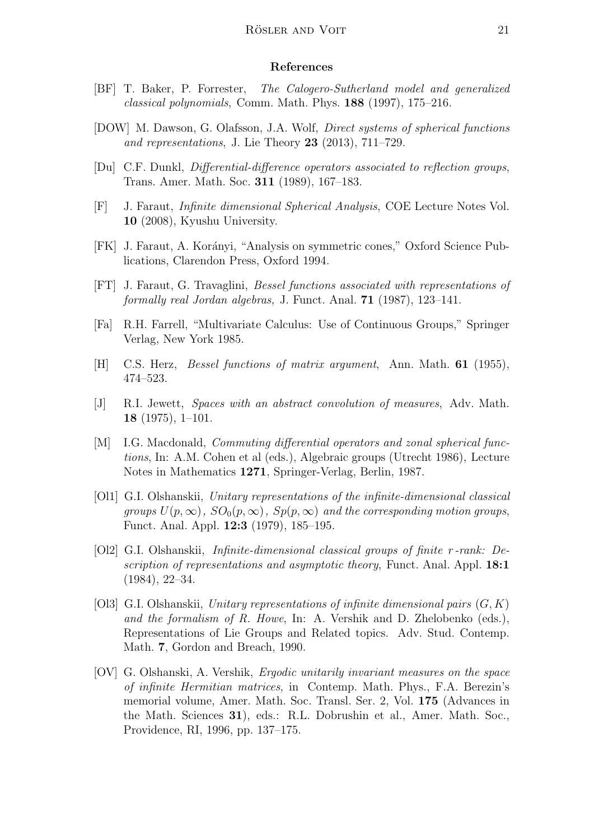#### References

- [BF] T. Baker, P. Forrester, The Calogero-Sutherland model and generalized classical polynomials, Comm. Math. Phys. 188 (1997), 175–216.
- [DOW] M. Dawson, G. Olafsson, J.A. Wolf, Direct systems of spherical functions and representations, J. Lie Theory  $23$  (2013), 711–729.
- [Du] C.F. Dunkl, Differential-difference operators associated to reflection groups, Trans. Amer. Math. Soc. 311 (1989), 167–183.
- [F] J. Faraut, Infinite dimensional Spherical Analysis, COE Lecture Notes Vol. 10 (2008), Kyushu University.
- [FK] J. Faraut, A. Korányi, "Analysis on symmetric cones," Oxford Science Publications, Clarendon Press, Oxford 1994.
- [FT] J. Faraut, G. Travaglini, Bessel functions associated with representations of formally real Jordan algebras, J. Funct. Anal. 71 (1987), 123–141.
- [Fa] R.H. Farrell, "Multivariate Calculus: Use of Continuous Groups," Springer Verlag, New York 1985.
- [H] C.S. Herz, Bessel functions of matrix argument, Ann. Math. 61 (1955), 474–523.
- [J] R.I. Jewett, Spaces with an abstract convolution of measures, Adv. Math. 18 (1975), 1–101.
- [M] I.G. Macdonald, *Commuting differential operators and zonal spherical func*tions, In: A.M. Cohen et al (eds.), Algebraic groups (Utrecht 1986), Lecture Notes in Mathematics 1271, Springer-Verlag, Berlin, 1987.
- [Ol1] G.I. Olshanskii, Unitary representations of the infinite-dimensional classical groups  $U(p,\infty)$ ,  $SO_0(p,\infty)$ ,  $Sp(p,\infty)$  and the corresponding motion groups, Funct. Anal. Appl. 12:3 (1979), 185–195.
- [Ol2] G.I. Olshanskii, Infinite-dimensional classical groups of finite r -rank: Description of representations and asymptotic theory, Funct. Anal. Appl. 18:1 (1984), 22–34.
- [Ol3] G.I. Olshanskii, Unitary representations of infinite dimensional pairs  $(G, K)$ and the formalism of R. Howe, In: A. Vershik and D. Zhelobenko (eds.), Representations of Lie Groups and Related topics. Adv. Stud. Contemp. Math. 7, Gordon and Breach, 1990.
- [OV] G. Olshanski, A. Vershik, Ergodic unitarily invariant measures on the space of infinite Hermitian matrices, in Contemp. Math. Phys., F.A. Berezin's memorial volume, Amer. Math. Soc. Transl. Ser. 2, Vol. 175 (Advances in the Math. Sciences 31), eds.: R.L. Dobrushin et al., Amer. Math. Soc., Providence, RI, 1996, pp. 137–175.